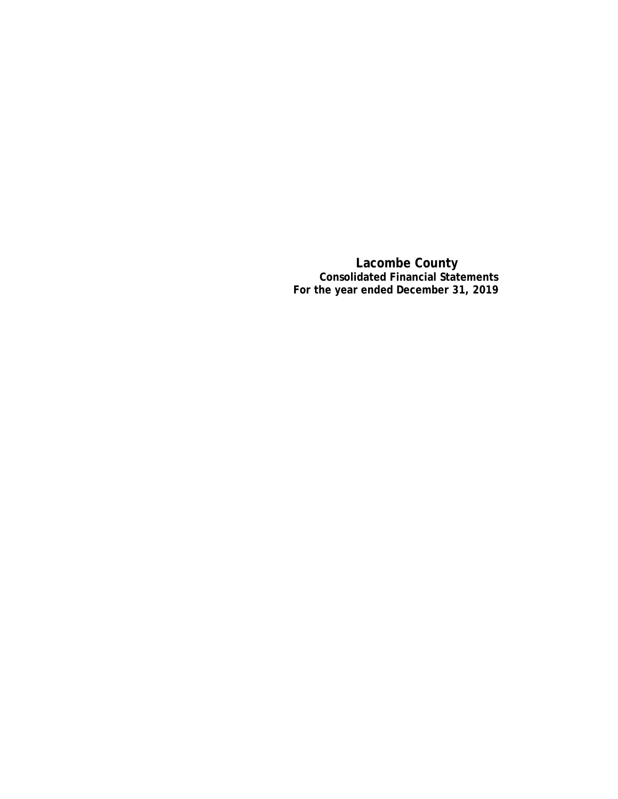**Lacombe County Consolidated Financial Statements For the year ended December 31, 2019**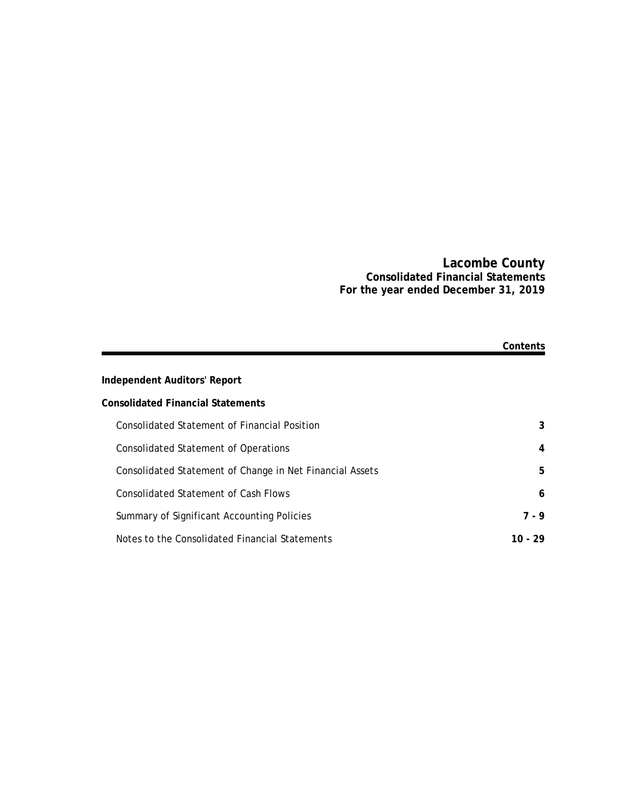### **Lacombe County Consolidated Financial Statements For the year ended December 31, 2019**

|                                                          | Contents |
|----------------------------------------------------------|----------|
| <b>Independent Auditors' Report</b>                      |          |
| <b>Consolidated Financial Statements</b>                 |          |
| Consolidated Statement of Financial Position             | 3        |
| Consolidated Statement of Operations                     | 4        |
| Consolidated Statement of Change in Net Financial Assets | 5        |
| Consolidated Statement of Cash Flows                     | 6        |
| Summary of Significant Accounting Policies               | 7 - 9    |
| Notes to the Consolidated Financial Statements           | 10 - 29  |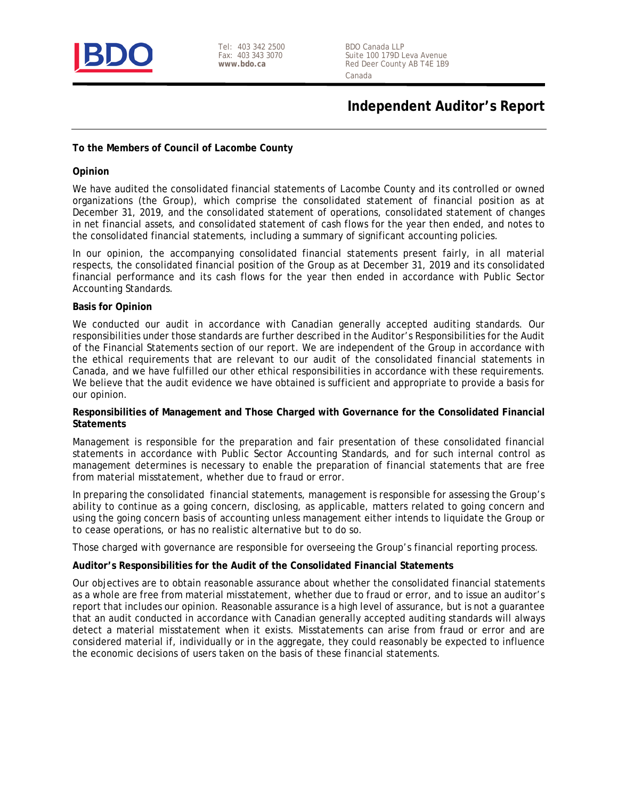

Tel: 403 342 2500 Fax: 403 343 3070 **www.bdo.ca**

BDO Canada LLP Suite 100 179D Leva Avenue Red Deer County AB T4E 1B9 Canada

# **Independent Auditor's Report**

#### **To the Members of Council of Lacombe County**

#### **Opinion**

We have audited the consolidated financial statements of Lacombe County and its controlled or owned organizations (the Group), which comprise the consolidated statement of financial position as at December 31, 2019, and the consolidated statement of operations, consolidated statement of changes in net financial assets, and consolidated statement of cash flows for the year then ended, and notes to the consolidated financial statements, including a summary of significant accounting policies.

In our opinion, the accompanying consolidated financial statements present fairly, in all material respects, the consolidated financial position of the Group as at December 31, 2019 and its consolidated financial performance and its cash flows for the year then ended in accordance with Public Sector Accounting Standards.

#### **Basis for Opinion**

We conducted our audit in accordance with Canadian generally accepted auditing standards. Our responsibilities under those standards are further described in the Auditor's Responsibilities for the Audit of the Financial Statements section of our report. We are independent of the Group in accordance with the ethical requirements that are relevant to our audit of the consolidated financial statements in Canada, and we have fulfilled our other ethical responsibilities in accordance with these requirements. We believe that the audit evidence we have obtained is sufficient and appropriate to provide a basis for our opinion.

#### **Responsibilities of Management and Those Charged with Governance for the Consolidated Financial Statements**

Management is responsible for the preparation and fair presentation of these consolidated financial statements in accordance with Public Sector Accounting Standards, and for such internal control as management determines is necessary to enable the preparation of financial statements that are free from material misstatement, whether due to fraud or error.

In preparing the consolidated financial statements, management is responsible for assessing the Group's ability to continue as a going concern, disclosing, as applicable, matters related to going concern and using the going concern basis of accounting unless management either intends to liquidate the Group or to cease operations, or has no realistic alternative but to do so.

Those charged with governance are responsible for overseeing the Group's financial reporting process.

#### **Auditor's Responsibilities for the Audit of the Consolidated Financial Statements**

Our objectives are to obtain reasonable assurance about whether the consolidated financial statements as a whole are free from material misstatement, whether due to fraud or error, and to issue an auditor's report that includes our opinion. Reasonable assurance is a high level of assurance, but is not a guarantee that an audit conducted in accordance with Canadian generally accepted auditing standards will always detect a material misstatement when it exists. Misstatements can arise from fraud or error and are considered material if, individually or in the aggregate, they could reasonably be expected to influence the economic decisions of users taken on the basis of these financial statements.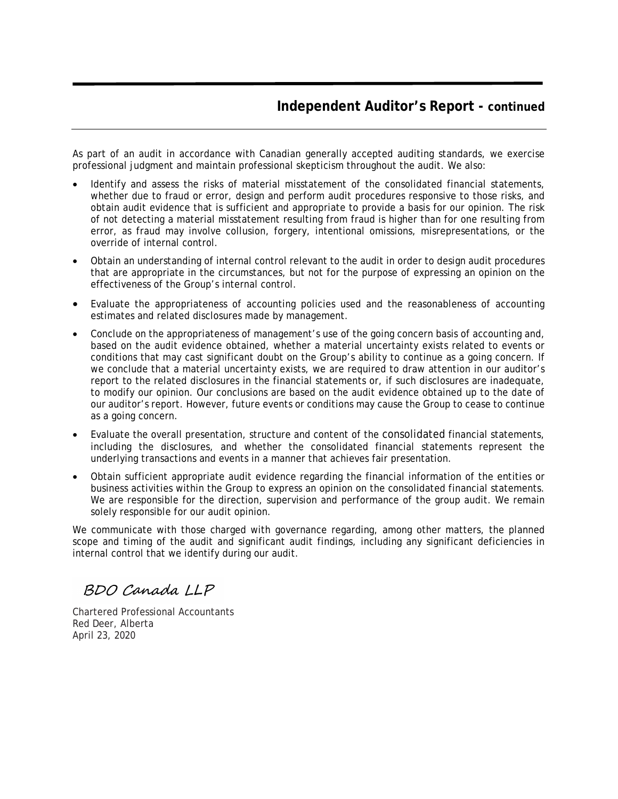# **Independent Auditor's Report - continued**

As part of an audit in accordance with Canadian generally accepted auditing standards, we exercise professional judgment and maintain professional skepticism throughout the audit. We also:

- Identify and assess the risks of material misstatement of the consolidated financial statements, whether due to fraud or error, design and perform audit procedures responsive to those risks, and obtain audit evidence that is sufficient and appropriate to provide a basis for our opinion. The risk of not detecting a material misstatement resulting from fraud is higher than for one resulting from error, as fraud may involve collusion, forgery, intentional omissions, misrepresentations, or the override of internal control.
- Obtain an understanding of internal control relevant to the audit in order to design audit procedures that are appropriate in the circumstances, but not for the purpose of expressing an opinion on the effectiveness of the Group's internal control.
- Evaluate the appropriateness of accounting policies used and the reasonableness of accounting estimates and related disclosures made by management.
- Conclude on the appropriateness of management's use of the going concern basis of accounting and, based on the audit evidence obtained, whether a material uncertainty exists related to events or conditions that may cast significant doubt on the Group's ability to continue as a going concern. If we conclude that a material uncertainty exists, we are required to draw attention in our auditor's report to the related disclosures in the financial statements or, if such disclosures are inadequate, to modify our opinion. Our conclusions are based on the audit evidence obtained up to the date of our auditor's report. However, future events or conditions may cause the Group to cease to continue as a going concern.
- Evaluate the overall presentation, structure and content of the consolidated financial statements, including the disclosures, and whether the consolidated financial statements represent the underlying transactions and events in a manner that achieves fair presentation.
- Obtain sufficient appropriate audit evidence regarding the financial information of the entities or business activities within the Group to express an opinion on the consolidated financial statements. We are responsible for the direction, supervision and performance of the group audit. We remain solely responsible for our audit opinion.

We communicate with those charged with governance regarding, among other matters, the planned scope and timing of the audit and significant audit findings, including any significant deficiencies in internal control that we identify during our audit.

# BDO Canada LLP

Chartered Professional Accountants Red Deer, Alberta April 23, 2020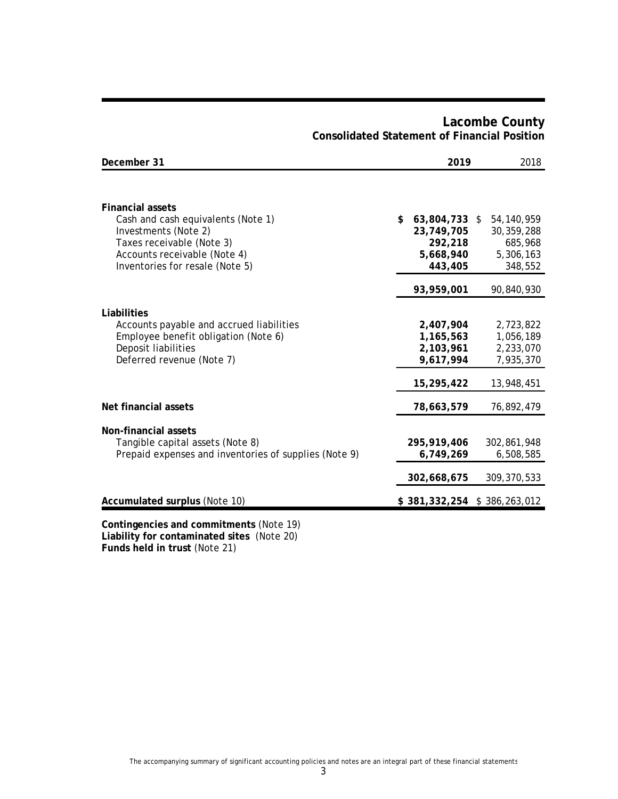| December 31                                                                                                                                                                           | 2019                                                                 | 2018                                                            |
|---------------------------------------------------------------------------------------------------------------------------------------------------------------------------------------|----------------------------------------------------------------------|-----------------------------------------------------------------|
|                                                                                                                                                                                       |                                                                      |                                                                 |
| <b>Financial assets</b><br>Cash and cash equivalents (Note 1)<br>Investments (Note 2)<br>Taxes receivable (Note 3)<br>Accounts receivable (Note 4)<br>Inventories for resale (Note 5) | \$<br>63,804,733 \$<br>23,749,705<br>292,218<br>5,668,940<br>443,405 | 54, 140, 959<br>30, 359, 288<br>685,968<br>5,306,163<br>348,552 |
|                                                                                                                                                                                       | 93,959,001                                                           | 90,840,930                                                      |
| Liabilities<br>Accounts payable and accrued liabilities<br>Employee benefit obligation (Note 6)<br>Deposit liabilities<br>Deferred revenue (Note 7)                                   | 2,407,904<br>1,165,563<br>2,103,961<br>9,617,994                     | 2,723,822<br>1,056,189<br>2,233,070<br>7,935,370                |
|                                                                                                                                                                                       | 15,295,422                                                           | 13,948,451                                                      |
| Net financial assets                                                                                                                                                                  | 78,663,579                                                           | 76,892,479                                                      |
| Non-financial assets<br>Tangible capital assets (Note 8)<br>Prepaid expenses and inventories of supplies (Note 9)                                                                     | 295,919,406<br>6,749,269                                             | 302,861,948<br>6,508,585                                        |
|                                                                                                                                                                                       | 302,668,675                                                          | 309, 370, 533                                                   |
| <b>Accumulated surplus (Note 10)</b>                                                                                                                                                  | \$381,332,254 \$386,263,012                                          |                                                                 |
| Contingencies and commitments (Note 19)                                                                                                                                               |                                                                      |                                                                 |

# **Lacombe County Consolidated Statement of Financial Position**

**Liability for contaminated sites** (Note 20) **Funds held in trust** (Note 21)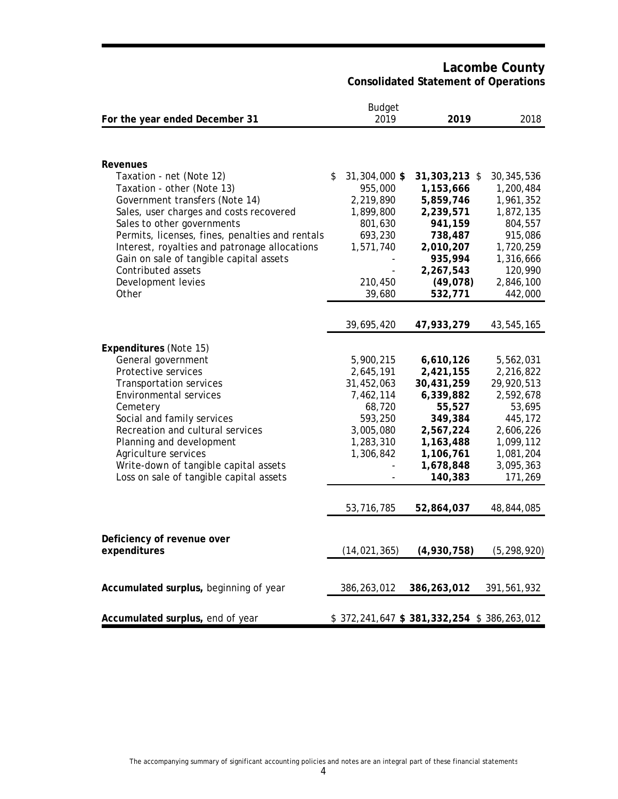**Lacombe County Consolidated Statement of Operations**

|                                                 | <b>Budget</b>       |                                           |               |
|-------------------------------------------------|---------------------|-------------------------------------------|---------------|
| For the year ended December 31                  | 2019                | 2019                                      | 2018          |
|                                                 |                     |                                           |               |
|                                                 |                     |                                           |               |
| <b>Revenues</b>                                 |                     |                                           |               |
| Taxation - net (Note 12)                        | \$<br>31,304,000 \$ | 31,303,213 \$                             | 30, 345, 536  |
| Taxation - other (Note 13)                      | 955,000             | 1,153,666                                 | 1,200,484     |
| Government transfers (Note 14)                  | 2,219,890           | 5,859,746                                 | 1,961,352     |
| Sales, user charges and costs recovered         | 1,899,800           | 2,239,571                                 | 1,872,135     |
| Sales to other governments                      | 801,630             | 941,159                                   | 804,557       |
| Permits, licenses, fines, penalties and rentals | 693,230             | 738,487                                   | 915,086       |
| Interest, royalties and patronage allocations   | 1,571,740           | 2,010,207                                 | 1,720,259     |
| Gain on sale of tangible capital assets         |                     | 935,994                                   | 1,316,666     |
| Contributed assets                              |                     | 2,267,543                                 | 120,990       |
| Development levies                              | 210,450             | (49, 078)                                 | 2,846,100     |
| Other                                           | 39,680              | 532,771                                   | 442,000       |
|                                                 |                     |                                           |               |
|                                                 | 39,695,420          | 47,933,279                                | 43,545,165    |
|                                                 |                     |                                           |               |
| Expenditures (Note 15)                          |                     |                                           |               |
| General government                              | 5,900,215           | 6,610,126                                 | 5,562,031     |
| Protective services                             | 2,645,191           | 2,421,155                                 | 2,216,822     |
| Transportation services                         | 31,452,063          | 30,431,259                                | 29,920,513    |
| <b>Environmental services</b>                   | 7,462,114           | 6,339,882                                 | 2,592,678     |
| Cemetery                                        | 68,720              | 55,527                                    | 53,695        |
| Social and family services                      | 593,250             | 349,384                                   | 445,172       |
| Recreation and cultural services                | 3,005,080           | 2,567,224                                 | 2,606,226     |
| Planning and development                        | 1,283,310           | 1,163,488                                 | 1,099,112     |
| Agriculture services                            | 1,306,842           | 1,106,761                                 | 1,081,204     |
| Write-down of tangible capital assets           |                     | 1,678,848                                 | 3,095,363     |
| Loss on sale of tangible capital assets         |                     | 140,383                                   | 171,269       |
|                                                 |                     |                                           |               |
|                                                 | 53,716,785          | 52,864,037                                | 48,844,085    |
|                                                 |                     |                                           |               |
| Deficiency of revenue over                      |                     |                                           |               |
| expenditures                                    | (14, 021, 365)      | (4,930,758)                               | (5, 298, 920) |
|                                                 |                     |                                           |               |
|                                                 |                     |                                           |               |
| Accumulated surplus, beginning of year          | 386,263,012         | 386,263,012                               | 391,561,932   |
|                                                 |                     |                                           |               |
| Accumulated surplus, end of year                |                     | \$372,241,647 \$381,332,254 \$386,263,012 |               |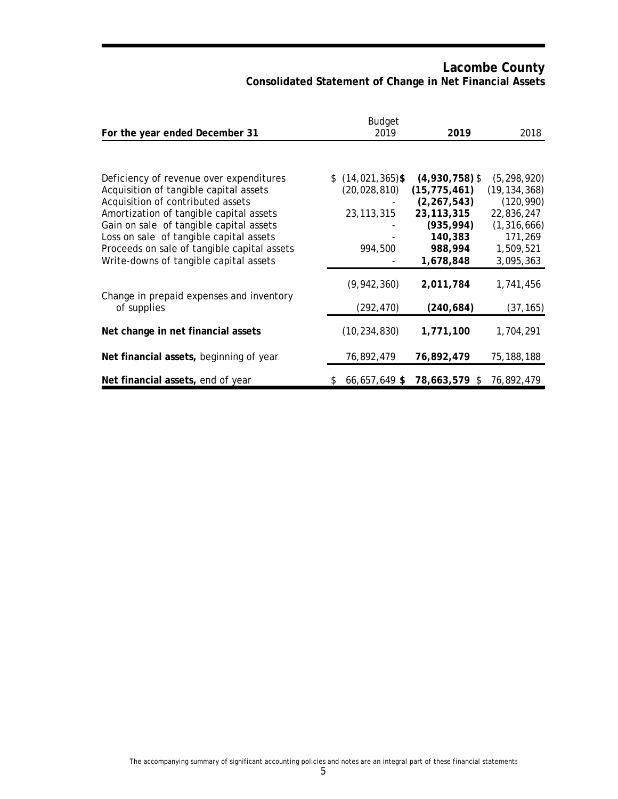# **Lacombe County Consolidated Statement of Change in Net Financial Assets**

|                                                         | Budget              |                  |                |
|---------------------------------------------------------|---------------------|------------------|----------------|
| For the year ended December 31                          | 2019                | 2019             | 2018           |
|                                                         |                     |                  |                |
| Deficiency of revenue over expenditures                 | $$(14,021,365)$ \$  | $(4,930,758)$ \$ | (5, 298, 920)  |
| Acquisition of tangible capital assets                  | (20, 028, 810)      | (15, 775, 461)   | (19, 134, 368) |
| Acquisition of contributed assets                       |                     | (2, 267, 543)    | (120, 990)     |
| Amortization of tangible capital assets                 | 23, 113, 315        | 23, 113, 315     | 22,836,247     |
| Gain on sale of tangible capital assets                 |                     | (935, 994)       | (1, 316, 666)  |
| Loss on sale of tangible capital assets                 |                     | 140,383          | 171,269        |
| Proceeds on sale of tangible capital assets             | 994,500             | 988,994          | 1,509,521      |
| Write-downs of tangible capital assets                  |                     | 1,678,848        | 3,095,363      |
|                                                         | (9, 942, 360)       | 2,011,784        | 1,741,456      |
| Change in prepaid expenses and inventory<br>of supplies | (292, 470)          | (240, 684)       | (37, 165)      |
| Net change in net financial assets                      | (10, 234, 830)      | 1,771,100        | 1,704,291      |
| Net financial assets, beginning of year                 | 76,892,479          | 76,892,479       | 75, 188, 188   |
| Net financial assets, end of year                       | 66,657,649 \$<br>\$ | 78,663,579 \$    | 76,892,479     |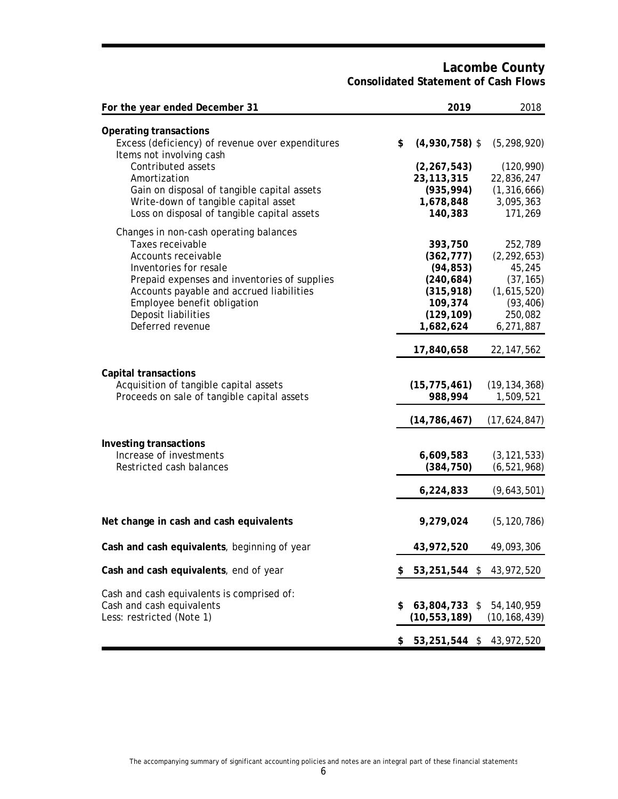### **Lacombe County Consolidated Statement of Cash Flows**

| For the year ended December 31                                                      | 2019                           | 2018                        |
|-------------------------------------------------------------------------------------|--------------------------------|-----------------------------|
| <b>Operating transactions</b><br>Excess (deficiency) of revenue over expenditures   | $(4,930,758)$ \$<br>\$         | (5, 298, 920)               |
| Items not involving cash<br>Contributed assets                                      | (2, 267, 543)                  | (120, 990)                  |
| Amortization<br>Gain on disposal of tangible capital assets                         | 23, 113, 315<br>(935, 994)     | 22,836,247<br>(1, 316, 666) |
| Write-down of tangible capital asset<br>Loss on disposal of tangible capital assets | 1,678,848<br>140,383           | 3,095,363<br>171,269        |
| Changes in non-cash operating balances<br>Taxes receivable                          | 393,750                        | 252,789                     |
| Accounts receivable                                                                 | (362, 777)                     | (2, 292, 653)               |
| Inventories for resale                                                              | (94, 853)                      | 45,245                      |
| Prepaid expenses and inventories of supplies                                        | (240, 684)                     | (37, 165)                   |
| Accounts payable and accrued liabilities                                            | (315, 918)                     | (1,615,520)                 |
| Employee benefit obligation<br>Deposit liabilities                                  | 109,374                        | (93, 406)                   |
| Deferred revenue                                                                    | (129, 109)<br>1,682,624        | 250,082<br>6,271,887        |
|                                                                                     | 17,840,658                     | 22, 147, 562                |
| <b>Capital transactions</b>                                                         |                                |                             |
| Acquisition of tangible capital assets                                              | (15, 775, 461)                 | (19, 134, 368)              |
| Proceeds on sale of tangible capital assets                                         | 988,994                        | 1,509,521                   |
|                                                                                     | (14, 786, 467)                 | (17, 624, 847)              |
| Investing transactions                                                              |                                |                             |
| Increase of investments                                                             | 6,609,583                      | (3, 121, 533)               |
| Restricted cash balances                                                            | (384, 750)                     | (6, 521, 968)               |
|                                                                                     | 6,224,833                      | (9,643,501)                 |
| Net change in cash and cash equivalents                                             | 9,279,024                      | (5, 120, 786)               |
| Cash and cash equivalents, beginning of year                                        | 43,972,520                     | 49,093,306                  |
| Cash and cash equivalents, end of year                                              | S                              | 53,251,544 \$ 43,972,520    |
| Cash and cash equivalents is comprised of:                                          |                                |                             |
| Cash and cash equivalents                                                           | 63,804,733 \$ 54,140,959<br>\$ |                             |
| Less: restricted (Note 1)                                                           | (10, 553, 189)                 | (10, 168, 439)              |
|                                                                                     | 53,251,544 \$ 43,972,520<br>\$ |                             |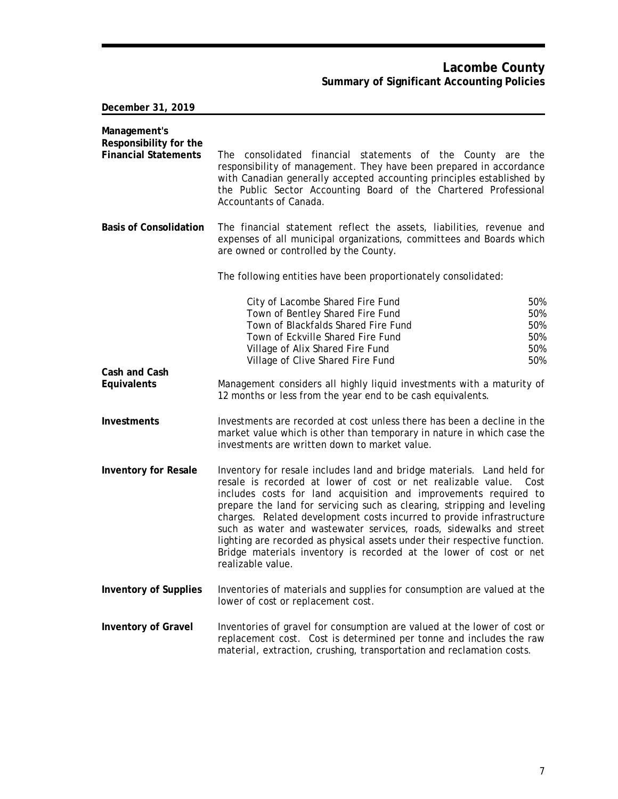### **Lacombe County Summary of Significant Accounting Policies**

**December 31, 2019**

| Management's<br>Responsibility for the<br><b>Financial Statements</b> | The consolidated financial statements of the County are the<br>responsibility of management. They have been prepared in accordance<br>with Canadian generally accepted accounting principles established by<br>the Public Sector Accounting Board of the Chartered Professional<br>Accountants of Canada.                                                                                                                                                                                                                                                                                                            |
|-----------------------------------------------------------------------|----------------------------------------------------------------------------------------------------------------------------------------------------------------------------------------------------------------------------------------------------------------------------------------------------------------------------------------------------------------------------------------------------------------------------------------------------------------------------------------------------------------------------------------------------------------------------------------------------------------------|
| <b>Basis of Consolidation</b>                                         | The financial statement reflect the assets, liabilities, revenue and<br>expenses of all municipal organizations, committees and Boards which<br>are owned or controlled by the County.                                                                                                                                                                                                                                                                                                                                                                                                                               |
|                                                                       | The following entities have been proportionately consolidated:                                                                                                                                                                                                                                                                                                                                                                                                                                                                                                                                                       |
|                                                                       | City of Lacombe Shared Fire Fund<br>50%<br>Town of Bentley Shared Fire Fund<br>50%<br>Town of Blackfalds Shared Fire Fund<br>50%<br>Town of Eckville Shared Fire Fund<br>50%<br>50%<br>Village of Alix Shared Fire Fund<br>50%<br>Village of Clive Shared Fire Fund                                                                                                                                                                                                                                                                                                                                                  |
| Cash and Cash<br>Equivalents                                          | Management considers all highly liquid investments with a maturity of<br>12 months or less from the year end to be cash equivalents.                                                                                                                                                                                                                                                                                                                                                                                                                                                                                 |
| Investments                                                           | Investments are recorded at cost unless there has been a decline in the<br>market value which is other than temporary in nature in which case the<br>investments are written down to market value.                                                                                                                                                                                                                                                                                                                                                                                                                   |
| <b>Inventory for Resale</b>                                           | Inventory for resale includes land and bridge materials. Land held for<br>resale is recorded at lower of cost or net realizable value.<br>Cost<br>includes costs for land acquisition and improvements required to<br>prepare the land for servicing such as clearing, stripping and leveling<br>charges. Related development costs incurred to provide infrastructure<br>such as water and wastewater services, roads, sidewalks and street<br>lighting are recorded as physical assets under their respective function.<br>Bridge materials inventory is recorded at the lower of cost or net<br>realizable value. |
| <b>Inventory of Supplies</b>                                          | Inventories of materials and supplies for consumption are valued at the<br>lower of cost or replacement cost.                                                                                                                                                                                                                                                                                                                                                                                                                                                                                                        |
| <b>Inventory of Gravel</b>                                            | Inventories of gravel for consumption are valued at the lower of cost or<br>replacement cost. Cost is determined per tonne and includes the raw<br>material, extraction, crushing, transportation and reclamation costs.                                                                                                                                                                                                                                                                                                                                                                                             |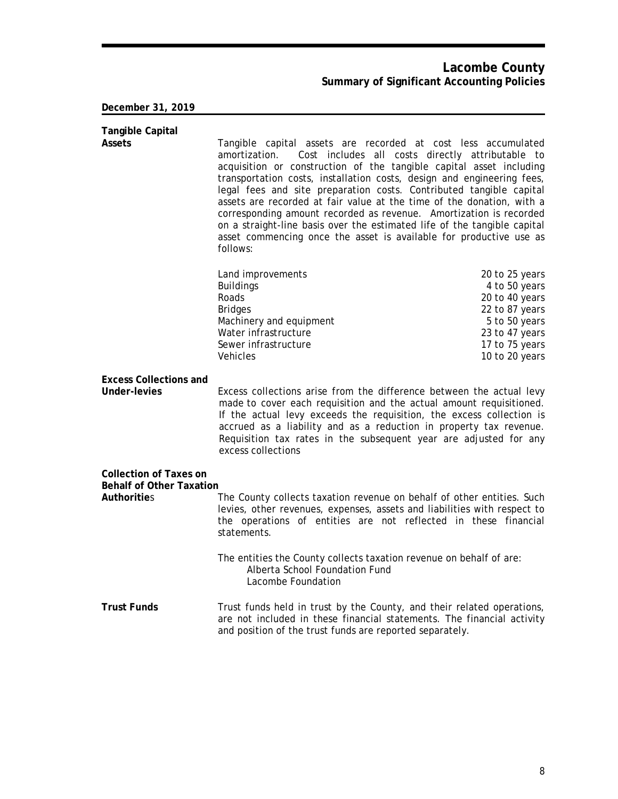### **Lacombe County Summary of Significant Accounting Policies**

### **December 31, 2019**

| <b>Tangible Capital</b><br><b>Assets</b>                                               | Tangible capital assets are recorded at cost less accumulated<br>amortization.<br>acquisition or construction of the tangible capital asset including<br>transportation costs, installation costs, design and engineering fees,<br>legal fees and site preparation costs. Contributed tangible capital<br>assets are recorded at fair value at the time of the donation, with a<br>corresponding amount recorded as revenue. Amortization is recorded<br>on a straight-line basis over the estimated life of the tangible capital<br>asset commencing once the asset is available for productive use as<br>follows: | Cost includes all costs directly attributable to                                                                                           |
|----------------------------------------------------------------------------------------|---------------------------------------------------------------------------------------------------------------------------------------------------------------------------------------------------------------------------------------------------------------------------------------------------------------------------------------------------------------------------------------------------------------------------------------------------------------------------------------------------------------------------------------------------------------------------------------------------------------------|--------------------------------------------------------------------------------------------------------------------------------------------|
|                                                                                        | Land improvements<br><b>Buildings</b><br>Roads<br><b>Bridges</b><br>Machinery and equipment<br>Water infrastructure<br>Sewer infrastructure<br><b>Vehicles</b>                                                                                                                                                                                                                                                                                                                                                                                                                                                      | 20 to 25 years<br>4 to 50 years<br>20 to 40 years<br>22 to 87 years<br>5 to 50 years<br>23 to 47 years<br>17 to 75 years<br>10 to 20 years |
| <b>Excess Collections and</b><br>Under-levies                                          | Excess collections arise from the difference between the actual levy<br>made to cover each requisition and the actual amount requisitioned.<br>If the actual levy exceeds the requisition, the excess collection is<br>accrued as a liability and as a reduction in property tax revenue.<br>Requisition tax rates in the subsequent year are adjusted for any<br>excess collections                                                                                                                                                                                                                                |                                                                                                                                            |
| <b>Collection of Taxes on</b><br><b>Behalf of Other Taxation</b><br><b>Authorities</b> | The County collects taxation revenue on behalf of other entities. Such<br>levies, other revenues, expenses, assets and liabilities with respect to<br>the operations of entities are not reflected in these financial<br>statements.<br>The entities the County collects taxation revenue on behalf of are:<br>Alberta School Foundation Fund<br>Lacombe Foundation                                                                                                                                                                                                                                                 |                                                                                                                                            |
| <b>Trust Funds</b>                                                                     | Trust funds held in trust by the County, and their related operations,<br>are not included in these financial statements. The financial activity                                                                                                                                                                                                                                                                                                                                                                                                                                                                    |                                                                                                                                            |

and position of the trust funds are reported separately.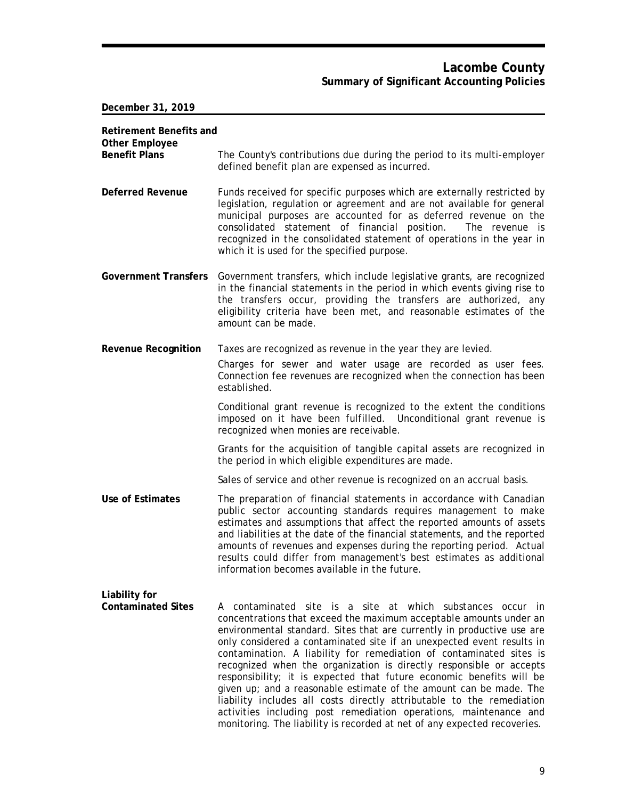### **Lacombe County Summary of Significant Accounting Policies**

**December 31, 2019**

| <b>Retirement Benefits and</b><br><b>Other Employee</b> |                                                                                                                                                                                                                                                                                                                                                                                                                                                                                                                                                                                                                                                                                                                                                                                                           |
|---------------------------------------------------------|-----------------------------------------------------------------------------------------------------------------------------------------------------------------------------------------------------------------------------------------------------------------------------------------------------------------------------------------------------------------------------------------------------------------------------------------------------------------------------------------------------------------------------------------------------------------------------------------------------------------------------------------------------------------------------------------------------------------------------------------------------------------------------------------------------------|
| <b>Benefit Plans</b>                                    | The County's contributions due during the period to its multi-employer<br>defined benefit plan are expensed as incurred.                                                                                                                                                                                                                                                                                                                                                                                                                                                                                                                                                                                                                                                                                  |
| <b>Deferred Revenue</b>                                 | Funds received for specific purposes which are externally restricted by<br>legislation, regulation or agreement and are not available for general<br>municipal purposes are accounted for as deferred revenue on the<br>consolidated statement of financial position.<br>The revenue is<br>recognized in the consolidated statement of operations in the year in<br>which it is used for the specified purpose.                                                                                                                                                                                                                                                                                                                                                                                           |
| <b>Government Transfers</b>                             | Government transfers, which include legislative grants, are recognized<br>in the financial statements in the period in which events giving rise to<br>the transfers occur, providing the transfers are authorized, any<br>eligibility criteria have been met, and reasonable estimates of the<br>amount can be made.                                                                                                                                                                                                                                                                                                                                                                                                                                                                                      |
| <b>Revenue Recognition</b>                              | Taxes are recognized as revenue in the year they are levied.                                                                                                                                                                                                                                                                                                                                                                                                                                                                                                                                                                                                                                                                                                                                              |
|                                                         | Charges for sewer and water usage are recorded as user fees.<br>Connection fee revenues are recognized when the connection has been<br>established.                                                                                                                                                                                                                                                                                                                                                                                                                                                                                                                                                                                                                                                       |
|                                                         | Conditional grant revenue is recognized to the extent the conditions<br>imposed on it have been fulfilled. Unconditional grant revenue is<br>recognized when monies are receivable.                                                                                                                                                                                                                                                                                                                                                                                                                                                                                                                                                                                                                       |
|                                                         | Grants for the acquisition of tangible capital assets are recognized in<br>the period in which eligible expenditures are made.                                                                                                                                                                                                                                                                                                                                                                                                                                                                                                                                                                                                                                                                            |
|                                                         | Sales of service and other revenue is recognized on an accrual basis.                                                                                                                                                                                                                                                                                                                                                                                                                                                                                                                                                                                                                                                                                                                                     |
| Use of Estimates                                        | The preparation of financial statements in accordance with Canadian<br>public sector accounting standards requires management to make<br>estimates and assumptions that affect the reported amounts of assets<br>and liabilities at the date of the financial statements, and the reported<br>amounts of revenues and expenses during the reporting period. Actual<br>results could differ from management's best estimates as additional<br>information becomes available in the future.                                                                                                                                                                                                                                                                                                                 |
| Liability for<br><b>Contaminated Sites</b>              | A contaminated site is a site at which substances occur in<br>concentrations that exceed the maximum acceptable amounts under an<br>environmental standard. Sites that are currently in productive use are<br>only considered a contaminated site if an unexpected event results in<br>contamination. A liability for remediation of contaminated sites is<br>recognized when the organization is directly responsible or accepts<br>responsibility; it is expected that future economic benefits will be<br>given up; and a reasonable estimate of the amount can be made. The<br>liability includes all costs directly attributable to the remediation<br>activities including post remediation operations, maintenance and<br>monitoring. The liability is recorded at net of any expected recoveries. |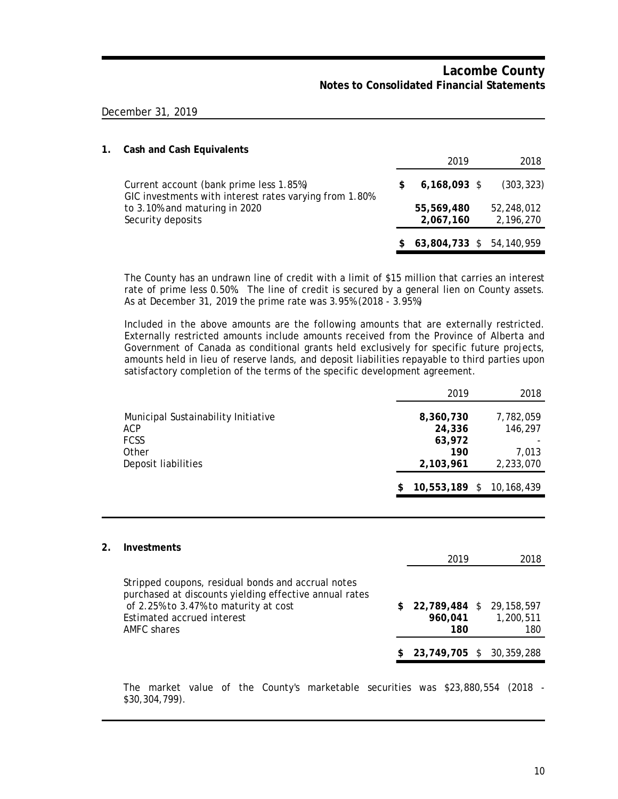#### December 31, 2019

| 1. | <b>Cash and Cash Equivalents</b>                                                                  |   |                          |                         |
|----|---------------------------------------------------------------------------------------------------|---|--------------------------|-------------------------|
|    |                                                                                                   |   | 2019                     | 2018                    |
|    | Current account (bank prime less 1.85%)<br>GIC investments with interest rates varying from 1.80% | S | $6,168,093$ \$           | (303, 323)              |
|    | to 3.10% and maturing in 2020<br>Security deposits                                                |   | 55,569,480<br>2,067,160  | 52,248,012<br>2,196,270 |
|    |                                                                                                   |   | 63,804,733 \$ 54,140,959 |                         |

The County has an undrawn line of credit with a limit of \$15 million that carries an interest rate of prime less 0.50%. The line of credit is secured by a general lien on County assets. As at December 31, 2019 the prime rate was 3.95% (2018 - 3.95%)

Included in the above amounts are the following amounts that are externally restricted. Externally restricted amounts include amounts received from the Province of Alberta and Government of Canada as conditional grants held exclusively for specific future projects, amounts held in lieu of reserve lands, and deposit liabilities repayable to third parties upon satisfactory completion of the terms of the specific development agreement.

|                                                           | 2019                          | 2018                 |
|-----------------------------------------------------------|-------------------------------|----------------------|
| Municipal Sustainability Initiative<br>ACP<br><b>FCSS</b> | 8,360,730<br>24,336<br>63,972 | 7,782,059<br>146.297 |
| Other<br>Deposit liabilities                              | 190<br>2,103,961              | 7.013<br>2,233,070   |
|                                                           | 10,553,189 \$ 10,168,439      |                      |

| 2. | Investments                                                                                                                                                                                        |      |                                            |                  |  |
|----|----------------------------------------------------------------------------------------------------------------------------------------------------------------------------------------------------|------|--------------------------------------------|------------------|--|
|    |                                                                                                                                                                                                    | 2019 | 2018                                       |                  |  |
|    | Stripped coupons, residual bonds and accrual notes<br>purchased at discounts yielding effective annual rates<br>of 2.25% to 3.47% to maturity at cost<br>Estimated accrued interest<br>AMFC shares | S.   | 22,789,484 \$ 29,158,597<br>960,041<br>180 | 1,200,511<br>180 |  |
|    |                                                                                                                                                                                                    |      | 23,749,705 \$ 30,359,288                   |                  |  |
|    |                                                                                                                                                                                                    |      |                                            |                  |  |

The market value of the County's marketable securities was \$23,880,554 (2018 - \$30,304,799).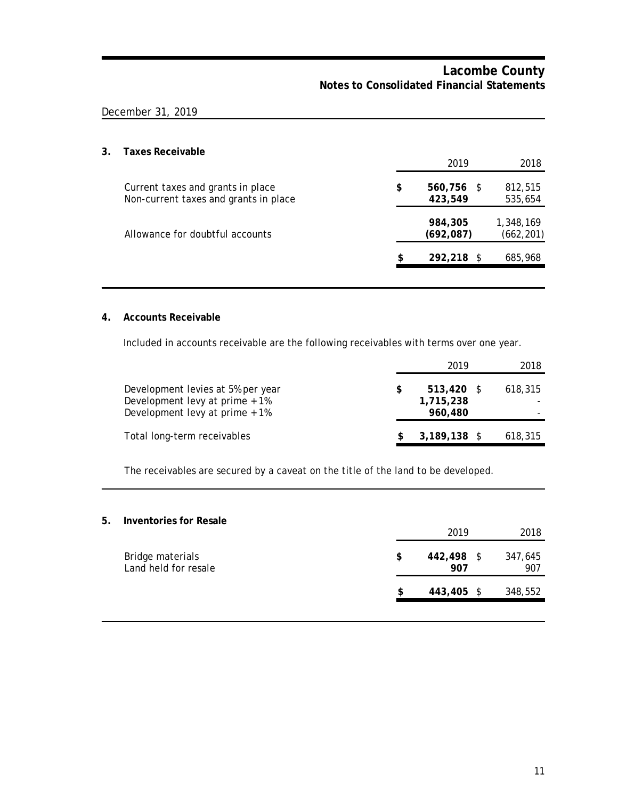### December 31, 2019

### **3. Taxes Receivable**

|                                                                            | 2019                        | 2018                    |
|----------------------------------------------------------------------------|-----------------------------|-------------------------|
| Current taxes and grants in place<br>Non-current taxes and grants in place | \$<br>560,756 \$<br>423,549 | 812,515<br>535,654      |
| Allowance for doubtful accounts                                            | 984,305<br>(692, 087)       | 1,348,169<br>(662, 201) |
|                                                                            | \$<br>292,218 \$            | 685,968                 |
|                                                                            |                             |                         |

#### **4. Accounts Receivable**

Included in accounts receivable are the following receivables with terms over one year.

|                                                                                                       | 2019                                 | 2018    |
|-------------------------------------------------------------------------------------------------------|--------------------------------------|---------|
| Development levies at 5% per year<br>Development levy at prime + 1%<br>Development levy at prime + 1% | $513.420$ \$<br>1,715,238<br>960,480 | 618,315 |
| Total long-term receivables                                                                           | $3,189,138$ \$                       | 618,315 |

The receivables are secured by a caveat on the title of the land to be developed.

#### **5. Inventories for Resale**

|    | 2019 | 2018                     |
|----|------|--------------------------|
| \$ | 907  | 347,645<br>907           |
| S  |      | 348,552                  |
|    |      | 442,498 \$<br>443,405 \$ |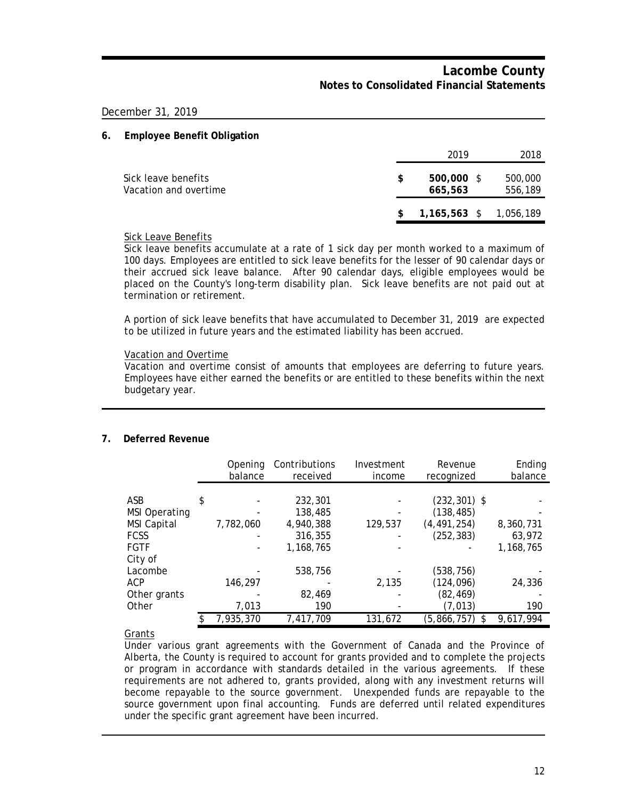December 31, 2019

#### **6. Employee Benefit Obligation**

|                                              | 2019                      | 2018               |
|----------------------------------------------|---------------------------|--------------------|
| Sick leave benefits<br>Vacation and overtime | $500,000$ \$<br>665,563   | 500,000<br>556,189 |
|                                              | $$1,165,563$ \$ 1,056,189 |                    |

#### Sick Leave Benefits

Sick leave benefits accumulate at a rate of 1 sick day per month worked to a maximum of 100 days. Employees are entitled to sick leave benefits for the lesser of 90 calendar days or their accrued sick leave balance. After 90 calendar days, eligible employees would be placed on the County's long-term disability plan. Sick leave benefits are not paid out at termination or retirement.

A portion of sick leave benefits that have accumulated to December 31, 2019 are expected to be utilized in future years and the estimated liability has been accrued.

### Vacation and Overtime

Vacation and overtime consist of amounts that employees are deferring to future years. Employees have either earned the benefits or are entitled to these benefits within the next budgetary year.

#### **7. Deferred Revenue**

|                      | Opening<br>balance | Contributions<br>received | Investment<br>income | Revenue<br>recognized | Ending<br>balance |
|----------------------|--------------------|---------------------------|----------------------|-----------------------|-------------------|
|                      |                    |                           |                      |                       |                   |
| ASB                  | \$                 | 232,301                   |                      | $(232, 301)$ \$       |                   |
| <b>MSI Operating</b> |                    | 138,485                   |                      | (138, 485)            |                   |
| <b>MSI Capital</b>   | 7,782,060          | 4,940,388                 | 129,537              | (4, 491, 254)         | 8,360,731         |
| <b>FCSS</b>          |                    | 316,355                   |                      | (252, 383)            | 63,972            |
| <b>FGTF</b>          |                    | 1,168,765                 |                      |                       | 1,168,765         |
| City of              |                    |                           |                      |                       |                   |
| Lacombe              |                    | 538,756                   |                      | (538, 756)            |                   |
| ACP                  | 146,297            |                           | 2,135                | (124, 096)            | 24,336            |
| Other grants         |                    | 82,469                    |                      | (82, 469)             |                   |
| Other                | 7,013              | 190                       |                      | (7, 013)              | 190               |
|                      | 7,935,370          | 7,417,709                 | 131,672              | (5,866,757)<br>\$     | 9,617,994         |

Grants

Under various grant agreements with the Government of Canada and the Province of Alberta, the County is required to account for grants provided and to complete the projects or program in accordance with standards detailed in the various agreements. If these requirements are not adhered to, grants provided, along with any investment returns will become repayable to the source government. Unexpended funds are repayable to the source government upon final accounting. Funds are deferred until related expenditures under the specific grant agreement have been incurred.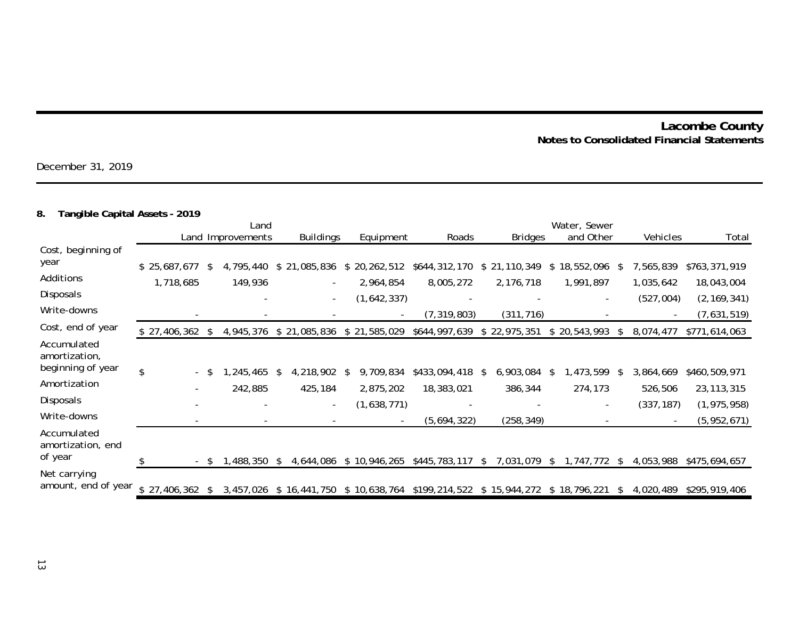December 31, 2019

# **8. Tangible Capital Assets - 2019**

|                                                   |                  | Land |                   |                                                                   |    |              |               |    | Water, Sewer   |    |                          |    |            |               |  |  |
|---------------------------------------------------|------------------|------|-------------------|-------------------------------------------------------------------|----|--------------|---------------|----|----------------|----|--------------------------|----|------------|---------------|--|--|
|                                                   |                  |      | Land Improvements | <b>Buildings</b>                                                  |    | Equipment    | Roads         |    | <b>Bridges</b> |    | and Other                |    | Vehicles   | Total         |  |  |
| Cost, beginning of                                |                  |      |                   |                                                                   |    |              |               |    |                |    |                          |    |            |               |  |  |
| year                                              | \$25,687,677     | -S   | 4,795,440         | \$21,085,836                                                      |    | \$20,262,512 | \$644,312,170 | \$ | 21,110,349     | \$ | 18,552,096 \$            |    | 7,565,839  | \$763,371,919 |  |  |
| Additions                                         | 1,718,685        |      | 149,936           |                                                                   |    | 2,964,854    | 8,005,272     |    | 2,176,718      |    | 1,991,897                |    | 1,035,642  | 18,043,004    |  |  |
| <b>Disposals</b>                                  |                  |      |                   | $\sim$                                                            |    | (1,642,337)  |               |    |                |    | $\overline{\phantom{a}}$ |    | (527,004)  | (2, 169, 341) |  |  |
| Write-downs                                       |                  |      |                   |                                                                   |    |              | (7, 319, 803) |    | (311, 716)     |    |                          |    |            | (7,631,519)   |  |  |
| Cost, end of year                                 | $$27,406,362$ \$ |      | 4,945,376         | \$21,085,836                                                      |    | \$21,585,029 | \$644,997,639 |    | \$22,975,351   |    | \$20,543,993             | S  | 8,074,477  | \$771,614,063 |  |  |
| Accumulated<br>amortization,<br>beginning of year | \$<br>- \$       |      | ,245,465          | 4,218,902<br>\$                                                   | S. | 9,709,834    |               | \$ |                | -S |                          |    |            |               |  |  |
| Amortization                                      |                  |      |                   |                                                                   |    |              | \$433,094,418 |    | 6,903,084      |    | ,473,599                 | -S | 3,864,669  | \$460,509,971 |  |  |
|                                                   |                  |      | 242,885           | 425,184                                                           |    | 2,875,202    | 18,383,021    |    | 386,344        |    | 274,173                  |    | 526,506    | 23, 113, 315  |  |  |
| Disposals                                         |                  |      |                   | $\sim$                                                            |    | (1,638,771)  |               |    |                |    |                          |    | (337, 187) | (1, 975, 958) |  |  |
| Write-downs                                       |                  |      |                   |                                                                   |    |              | (5,694,322)   |    | (258, 349)     |    |                          |    |            | (5,952,671)   |  |  |
| Accumulated<br>amortization, end                  |                  |      |                   |                                                                   |    |              |               |    |                |    |                          |    |            |               |  |  |
| of year                                           |                  | - \$ | ,488,350          | 4,644,086                                                         |    | \$10,946,265 | \$445,783,117 | \$ | 7,031,079      | -S | 1,747,772                | -S | 4,053,988  | \$475,694,657 |  |  |
| Net carrying<br>amount, end of year               | $$27,406,362$ \$ |      | 3,457,026         | \$16,441,750 \$10,638,764 \$199,214,522 \$15,944,272 \$18,796,221 |    |              |               |    |                |    |                          |    | 4,020,489  | \$295,919,406 |  |  |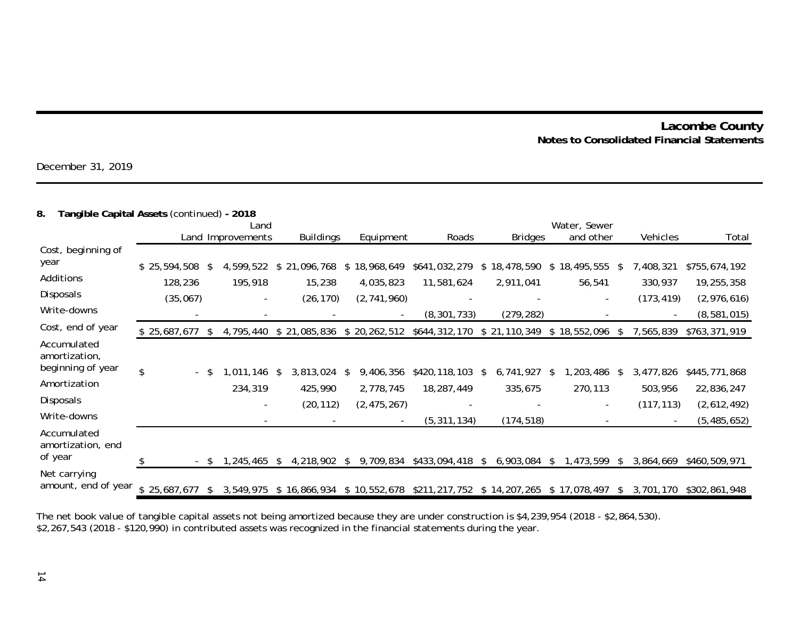December 31, 2019

#### **8. Tangible Capital Assets** (continued) **- 2018**

|                                                   | Land             |    |                   |                  |                  |    |                           | Water, Sewer  |    |                |     |                          |    |                          |               |
|---------------------------------------------------|------------------|----|-------------------|------------------|------------------|----|---------------------------|---------------|----|----------------|-----|--------------------------|----|--------------------------|---------------|
|                                                   |                  |    | Land Improvements |                  | <b>Buildings</b> |    | Equipment                 | Roads         |    | <b>Bridges</b> |     | and other                |    | Vehicles                 | Total         |
| Cost, beginning of                                |                  |    |                   |                  |                  |    |                           |               |    |                |     |                          |    |                          |               |
| year                                              | \$25,594,508     | \$ | 4,599,522         | ,096,768<br>\$21 |                  |    | \$18,968,649              | \$641,032,279 | \$ | 18,478,590     | \$  | 18,495,555               | -S | 7,408,321                | \$755,674,192 |
| Additions                                         | 128,236          |    | 195,918           |                  | 15,238           |    | 4,035,823                 | 11,581,624    |    | 2,911,041      |     | 56,541                   |    | 330,937                  | 19,255,358    |
| Disposals                                         | (35,067)         |    |                   |                  | (26, 170)        |    | (2,741,960)               |               |    |                |     | $\overline{\phantom{a}}$ |    | (173, 419)               | (2,976,616)   |
| Write-downs                                       |                  |    |                   |                  |                  |    |                           | (8, 301, 733) |    | (279, 282)     |     |                          |    |                          | (8, 581, 015) |
| Cost, end of year                                 | \$25,687,677     | -S | 4,795,440         | \$21,085,836     |                  |    | \$20,262,512              | \$644,312,170 |    | \$21,110,349   |     | \$18,552,096             | \$ | 7,565,839                | \$763,371,919 |
| Accumulated<br>amortization,<br>beginning of year | \$               |    |                   |                  |                  |    |                           |               |    |                |     |                          |    |                          |               |
|                                                   | - \$             |    | ,011,146          | 3,813,024<br>-S  |                  | S  | 9,406,356                 | \$420,118,103 | \$ | 6,741,927      | -S  | ,203,486                 | \$ | 3,477,826                | \$445,771,868 |
| Amortization                                      |                  |    | 234,319           |                  | 425,990          |    | 2,778,745                 | 18,287,449    |    | 335,675        |     | 270,113                  |    | 503,956                  | 22,836,247    |
| Disposals                                         |                  |    |                   |                  | (20, 112)        |    | (2, 475, 267)             |               |    |                |     |                          |    | (117, 113)               | (2,612,492)   |
| Write-downs                                       |                  |    |                   |                  |                  |    |                           | (5, 311, 134) |    | (174, 518)     |     |                          |    | $\overline{\phantom{a}}$ | (5, 485, 652) |
| Accumulated<br>amortization, end<br>of year       | - \$             |    | 1,245,465         | 4,218,902<br>S   |                  | S. | 9,709,834                 | \$433,094,418 | \$ | 6,903,084      | -\$ | 1,473,599                | S  | 3,864,669                | \$460,509,971 |
| Net carrying                                      |                  |    |                   |                  |                  |    |                           |               |    |                |     |                          |    |                          |               |
| amount, end of year                               | $$25,687,677$ \$ |    | 3,549,975         |                  |                  |    | \$16,866,934 \$10,552,678 | \$211,217,752 |    | \$14,207,265   |     | \$17,078,497             | S  | 3,701,170                | \$302,861,948 |

The net book value of tangible capital assets not being amortized because they are under construction is \$4,239,954 (2018 - \$2,864,530). \$2,267,543 (2018 - \$120,990) in contributed assets was recognized in the financial statements during the year.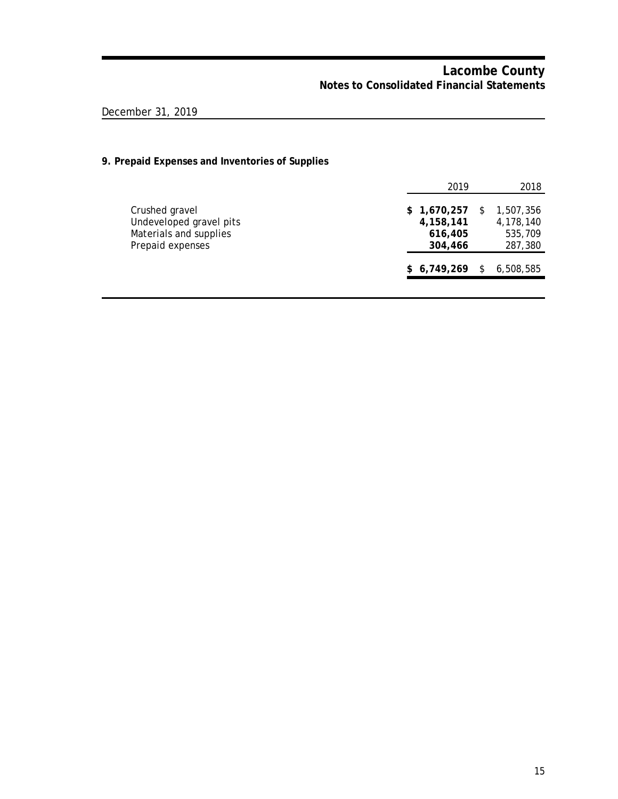# December 31, 2019

# **9. Prepaid Expenses and Inventories of Supplies**

|                                                                                         | 2019                                                | 2018                                         |
|-----------------------------------------------------------------------------------------|-----------------------------------------------------|----------------------------------------------|
| Crushed gravel<br>Undeveloped gravel pits<br>Materials and supplies<br>Prepaid expenses | \$1,670,257<br>S<br>4,158,141<br>616,405<br>304,466 | 1,507,356<br>4,178,140<br>535,709<br>287,380 |
|                                                                                         | \$6,749,269<br>S                                    | 6,508,585                                    |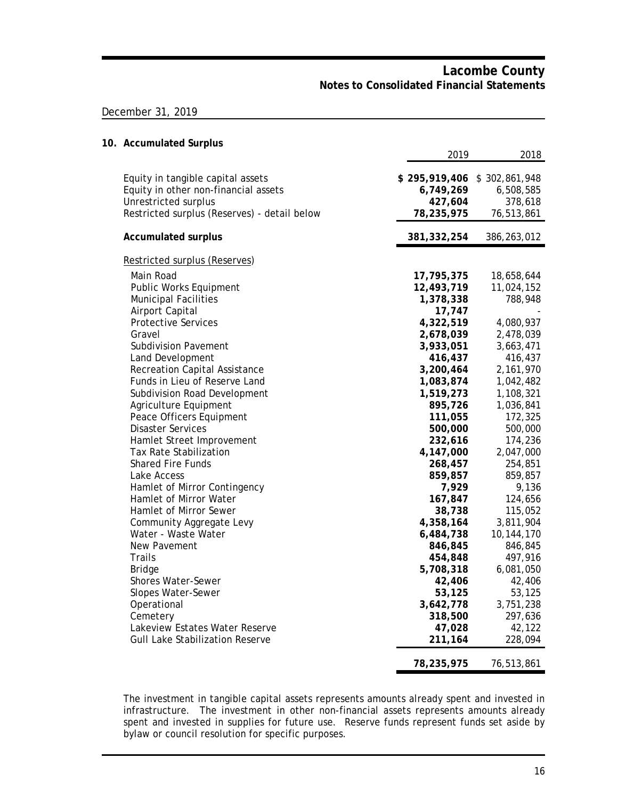2019 2018

### December 31, 2019

#### **10. Accumulated Surplus**

|                                                                                                                                                   | 20 I 7                                              | 2010                                                |
|---------------------------------------------------------------------------------------------------------------------------------------------------|-----------------------------------------------------|-----------------------------------------------------|
| Equity in tangible capital assets<br>Equity in other non-financial assets<br>Unrestricted surplus<br>Restricted surplus (Reserves) - detail below | \$295,919,406<br>6,749,269<br>427,604<br>78,235,975 | \$302,861,948<br>6,508,585<br>378,618<br>76,513,861 |
| <b>Accumulated surplus</b>                                                                                                                        | 381, 332, 254                                       | 386,263,012                                         |
| Restricted surplus (Reserves)                                                                                                                     |                                                     |                                                     |
| Main Road                                                                                                                                         | 17,795,375                                          | 18,658,644                                          |
| Public Works Equipment                                                                                                                            | 12,493,719                                          | 11,024,152                                          |
| Municipal Facilities                                                                                                                              | 1,378,338                                           | 788,948                                             |
| Airport Capital                                                                                                                                   | 17,747                                              |                                                     |
| <b>Protective Services</b>                                                                                                                        | 4,322,519                                           | 4,080,937                                           |
| Gravel                                                                                                                                            | 2,678,039                                           | 2,478,039                                           |
| <b>Subdivision Pavement</b>                                                                                                                       | 3,933,051                                           | 3,663,471                                           |
| Land Development                                                                                                                                  | 416,437                                             | 416,437                                             |
| Recreation Capital Assistance                                                                                                                     | 3,200,464                                           | 2,161,970                                           |
| Funds in Lieu of Reserve Land                                                                                                                     | 1,083,874                                           | 1,042,482                                           |
| Subdivision Road Development                                                                                                                      | 1,519,273                                           | 1,108,321                                           |
| Agriculture Equipment                                                                                                                             | 895,726                                             | 1,036,841                                           |
| Peace Officers Equipment                                                                                                                          | 111,055                                             | 172,325                                             |
| Disaster Services                                                                                                                                 | 500,000                                             | 500,000                                             |
| Hamlet Street Improvement                                                                                                                         | 232,616                                             | 174,236                                             |
| <b>Tax Rate Stabilization</b>                                                                                                                     | 4,147,000                                           | 2,047,000                                           |
| <b>Shared Fire Funds</b>                                                                                                                          | 268,457                                             | 254,851                                             |
| Lake Access                                                                                                                                       | 859,857                                             | 859,857                                             |
| Hamlet of Mirror Contingency                                                                                                                      | 7,929                                               | 9,136                                               |
| Hamlet of Mirror Water                                                                                                                            | 167,847                                             | 124,656                                             |
| Hamlet of Mirror Sewer                                                                                                                            | 38,738                                              | 115,052                                             |
| Community Aggregate Levy                                                                                                                          | 4,358,164                                           | 3,811,904                                           |
| Water - Waste Water                                                                                                                               | 6,484,738                                           | 10, 144, 170                                        |
| New Pavement                                                                                                                                      | 846,845                                             | 846,845                                             |
| Trails                                                                                                                                            | 454,848                                             | 497,916                                             |
| <b>Bridge</b>                                                                                                                                     | 5,708,318                                           | 6,081,050                                           |
| <b>Shores Water-Sewer</b>                                                                                                                         | 42,406                                              | 42,406                                              |
| Slopes Water-Sewer                                                                                                                                | 53,125                                              | 53,125                                              |
| Operational                                                                                                                                       | 3,642,778                                           | 3,751,238                                           |
| Cemetery                                                                                                                                          | 318,500                                             | 297,636                                             |
| Lakeview Estates Water Reserve                                                                                                                    | 47,028                                              | 42,122                                              |
| <b>Gull Lake Stabilization Reserve</b>                                                                                                            | 211,164                                             | 228,094                                             |
|                                                                                                                                                   | 78,235,975                                          | 76,513,861                                          |

The investment in tangible capital assets represents amounts already spent and invested in infrastructure. The investment in other non-financial assets represents amounts already spent and invested in supplies for future use. Reserve funds represent funds set aside by bylaw or council resolution for specific purposes.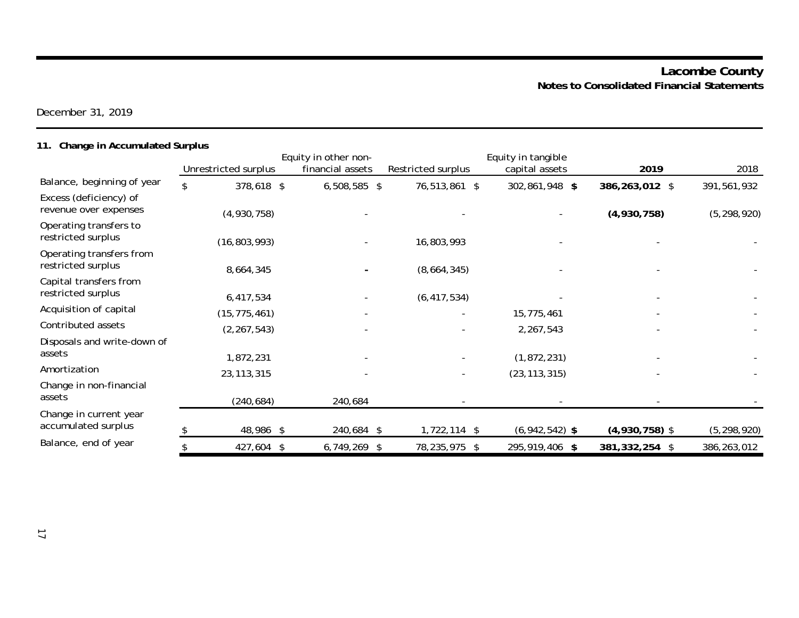December 31, 2019

# **11. Change in Accumulated Surplus**

|                                                 |                      | Equity in other non- |                    | Equity in tangible |                  |               |
|-------------------------------------------------|----------------------|----------------------|--------------------|--------------------|------------------|---------------|
|                                                 | Unrestricted surplus | financial assets     | Restricted surplus | capital assets     | 2019             | 2018          |
| Balance, beginning of year                      | \$<br>378,618 \$     | $6,508,585$ \$       | 76,513,861 \$      | 302,861,948 \$     | 386,263,012 \$   | 391,561,932   |
| Excess (deficiency) of<br>revenue over expenses | (4,930,758)          |                      |                    |                    | (4,930,758)      | (5, 298, 920) |
| Operating transfers to<br>restricted surplus    | (16, 803, 993)       |                      | 16,803,993         |                    |                  |               |
| Operating transfers from<br>restricted surplus  | 8,664,345            |                      | (8,664,345)        |                    |                  |               |
| Capital transfers from<br>restricted surplus    | 6,417,534            |                      | (6, 417, 534)      |                    |                  |               |
| Acquisition of capital                          | (15, 775, 461)       |                      |                    | 15,775,461         |                  |               |
| Contributed assets                              | (2, 267, 543)        |                      |                    | 2,267,543          |                  |               |
| Disposals and write-down of<br>assets           | 1,872,231            |                      |                    | (1,872,231)        |                  |               |
| Amortization                                    | 23, 113, 315         |                      |                    | (23, 113, 315)     |                  |               |
| Change in non-financial<br>assets               | (240, 684)           | 240,684              |                    |                    |                  |               |
| Change in current year<br>accumulated surplus   | 48,986 \$            | 240,684 \$           | $1,722,114$ \$     | $(6,942,542)$ \$   | $(4,930,758)$ \$ | (5, 298, 920) |
| Balance, end of year                            | 427,604 \$           | $6,749,269$ \$       | 78,235,975 \$      | 295,919,406 \$     | 381,332,254 \$   | 386, 263, 012 |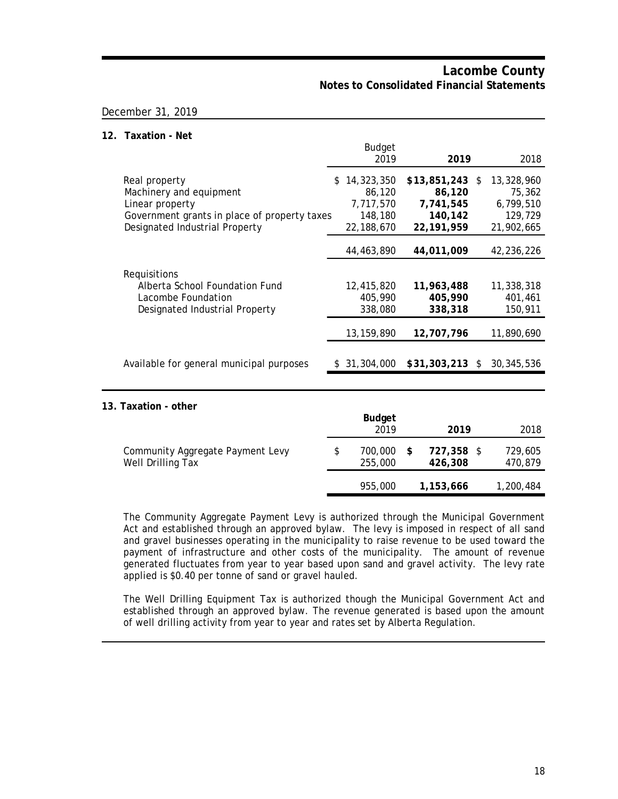#### December 31, 2019

#### **12. Taxation - Net**

|                                                                                                                                               | <b>Budget</b><br>2019                                             | 2019                                                               | 2018                                                       |
|-----------------------------------------------------------------------------------------------------------------------------------------------|-------------------------------------------------------------------|--------------------------------------------------------------------|------------------------------------------------------------|
| Real property<br>Machinery and equipment<br>Linear property<br>Government grants in place of property taxes<br>Designated Industrial Property | 14,323,350<br>\$.<br>86,120<br>7,717,570<br>148,180<br>22,188,670 | $$13,851,243$ \$<br>86,120<br>7,741,545<br>140,142<br>22, 191, 959 | 13,328,960<br>75,362<br>6,799,510<br>129,729<br>21,902,665 |
| Requisitions                                                                                                                                  | 44,463,890                                                        | 44,011,009                                                         | 42,236,226                                                 |
| Alberta School Foundation Fund                                                                                                                | 12,415,820                                                        | 11,963,488                                                         | 11,338,318                                                 |
| Lacombe Foundation                                                                                                                            | 405,990                                                           | 405,990                                                            | 401,461                                                    |
| Designated Industrial Property                                                                                                                | 338,080                                                           | 338,318                                                            | 150,911                                                    |
| Available for general municipal purposes                                                                                                      | 13, 159, 890                                                      | 12,707,796                                                         | 11,890,690                                                 |
|                                                                                                                                               | 31,304,000                                                        | $$31,303,213$ \$                                                   | 30, 345, 536                                               |

#### **13. Taxation - other**

|                                                       | <b>Budget</b><br>2019    | 2019                  | 2018               |
|-------------------------------------------------------|--------------------------|-----------------------|--------------------|
| Community Aggregate Payment Levy<br>Well Drilling Tax | \$<br>700.000<br>255,000 | 727,358 \$<br>426,308 | 729,605<br>470,879 |
|                                                       | 955,000                  | 1,153,666             | 1,200,484          |

The Community Aggregate Payment Levy is authorized through the Municipal Government Act and established through an approved bylaw. The levy is imposed in respect of all sand and gravel businesses operating in the municipality to raise revenue to be used toward the payment of infrastructure and other costs of the municipality. The amount of revenue generated fluctuates from year to year based upon sand and gravel activity. The levy rate applied is \$0.40 per tonne of sand or gravel hauled.

The Well Drilling Equipment Tax is authorized though the Municipal Government Act and established through an approved bylaw. The revenue generated is based upon the amount of well drilling activity from year to year and rates set by Alberta Regulation.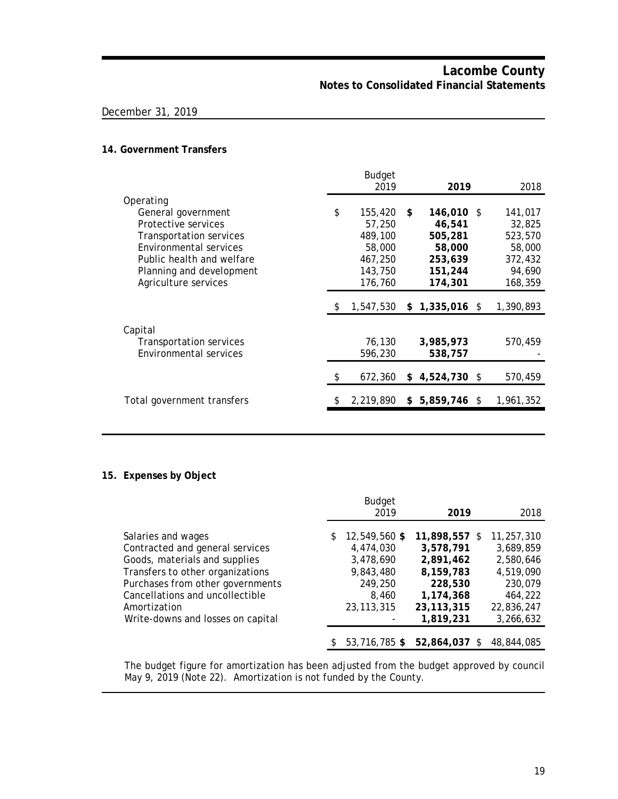### December 31, 2019

#### **14. Government Transfers**

|                            | <b>Budget</b> |     |                |           |
|----------------------------|---------------|-----|----------------|-----------|
|                            | 2019          |     | 2019           | 2018      |
| Operating                  |               |     |                |           |
| General government         | \$<br>155,420 | \$. | $146,010$ \$   | 141,017   |
| Protective services        | 57,250        |     | 46,541         | 32,825    |
| Transportation services    | 489,100       |     | 505,281        | 523,570   |
| Environmental services     | 58,000        |     | 58,000         | 58,000    |
| Public health and welfare  | 467,250       |     | 253,639        | 372,432   |
| Planning and development   | 143,750       |     | 151,244        | 94,690    |
| Agriculture services       | 176,760       |     | 174,301        | 168,359   |
|                            |               |     |                |           |
|                            | 1,547,530     | \$  | $1,335,016$ \$ | 1,390,893 |
| Capital                    |               |     |                |           |
| Transportation services    | 76,130        |     | 3,985,973      | 570,459   |
| Environmental services     | 596,230       |     | 538,757        |           |
|                            | \$<br>672,360 | S.  | 4,524,730 \$   | 570,459   |
|                            |               |     |                |           |
| Total government transfers | 2,219,890     | \$  | 5,859,746 \$   | 1,961,352 |
|                            |               |     |                |           |

#### **15. Expenses by Object**

|                                                                                                                                                                                                                                                        |   | <b>Budget</b><br>2019                                                                    | 2019                                                                                                      | 2018                                                                                               |
|--------------------------------------------------------------------------------------------------------------------------------------------------------------------------------------------------------------------------------------------------------|---|------------------------------------------------------------------------------------------|-----------------------------------------------------------------------------------------------------------|----------------------------------------------------------------------------------------------------|
| Salaries and wages<br>Contracted and general services<br>Goods, materials and supplies<br>Transfers to other organizations<br>Purchases from other governments<br>Cancellations and uncollectible<br>Amortization<br>Write-downs and losses on capital | S | 12,549,560 \$<br>4,474,030<br>3,478,690<br>9,843,480<br>249,250<br>8,460<br>23, 113, 315 | 11,898,557 \$<br>3,578,791<br>2,891,462<br>8,159,783<br>228,530<br>1,174,368<br>23, 113, 315<br>1,819,231 | 11,257,310<br>3,689,859<br>2,580,646<br>4,519,090<br>230,079<br>464,222<br>22,836,247<br>3,266,632 |
|                                                                                                                                                                                                                                                        |   | 53.716.785 \$                                                                            | 52,864,037                                                                                                | 48,844,085                                                                                         |

The budget figure for amortization has been adjusted from the budget approved by council May 9, 2019 (Note 22). Amortization is not funded by the County.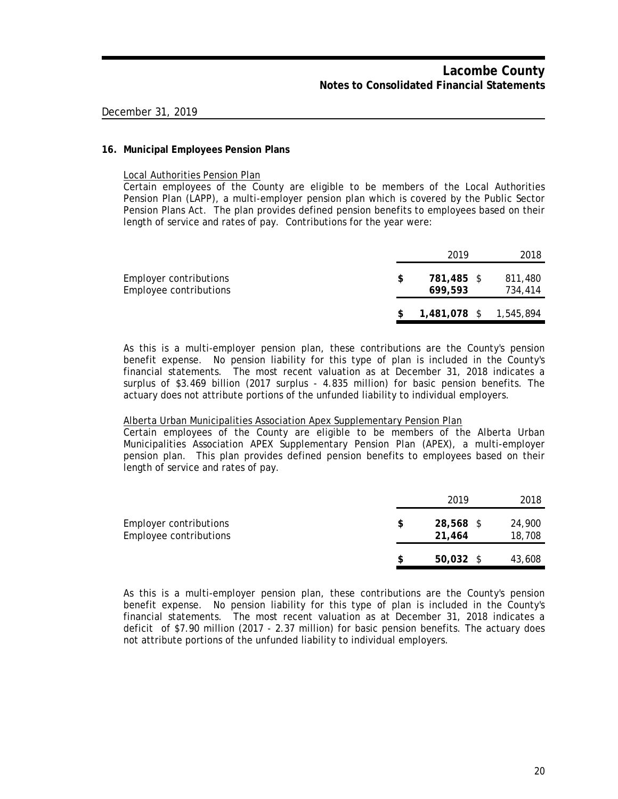#### **16. Municipal Employees Pension Plans**

Local Authorities Pension Plan

Certain employees of the County are eligible to be members of the Local Authorities Pension Plan (LAPP), a multi-employer pension plan which is covered by the Public Sector Pension Plans Act. The plan provides defined pension benefits to employees based on their length of service and rates of pay. Contributions for the year were:

|                                                  | 2019                  | 2018                   |
|--------------------------------------------------|-----------------------|------------------------|
| Employer contributions<br>Employee contributions | 781,485 \$<br>699.593 | 811,480<br>734,414     |
|                                                  |                       | 1,481,078 \$ 1,545,894 |

As this is a multi-employer pension plan, these contributions are the County's pension benefit expense. No pension liability for this type of plan is included in the County's financial statements. The most recent valuation as at December 31, 2018 indicates a surplus of \$3.469 billion (2017 surplus - 4.835 million) for basic pension benefits. The actuary does not attribute portions of the unfunded liability to individual employers.

#### Alberta Urban Municipalities Association Apex Supplementary Pension Plan

Certain employees of the County are eligible to be members of the Alberta Urban Municipalities Association APEX Supplementary Pension Plan (APEX), a multi-employer pension plan. This plan provides defined pension benefits to employees based on their length of service and rates of pay.

|                                                  | 2019                | 2018             |
|--------------------------------------------------|---------------------|------------------|
| Employer contributions<br>Employee contributions | 28,568 \$<br>21,464 | 24,900<br>18,708 |
|                                                  | $50,032$ \$         | 43,608           |

As this is a multi-employer pension plan, these contributions are the County's pension benefit expense. No pension liability for this type of plan is included in the County's financial statements. The most recent valuation as at December 31, 2018 indicates a deficit of \$7.90 million (2017 - 2.37 million) for basic pension benefits. The actuary does not attribute portions of the unfunded liability to individual employers.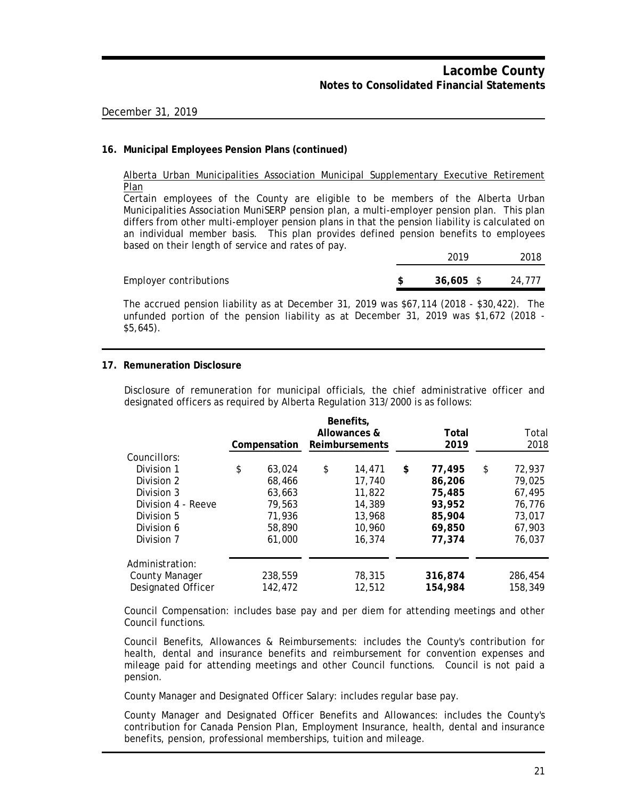#### **16. Municipal Employees Pension Plans (continued)**

Alberta Urban Municipalities Association Municipal Supplementary Executive Retirement Plan

Certain employees of the County are eligible to be members of the Alberta Urban Municipalities Association MuniSERP pension plan, a multi-employer pension plan. This plan differs from other multi-employer pension plans in that the pension liability is calculated on an individual member basis. This plan provides defined pension benefits to employees based on their length of service and rates of pay.

**Employer contributions** 

| 2019              | 2018   |
|-------------------|--------|
| \$<br>$36,605$ \$ | 24,777 |

The accrued pension liability as at December 31, 2019 was \$67,114 (2018 - \$30,422). The unfunded portion of the pension liability as at December 31, 2019 was \$1,672 (2018 - \$5,645).

#### **17. Remuneration Disclosure**

Disclosure of remuneration for municipal officials, the chief administrative officer and designated officers as required by Alberta Regulation 313/2000 is as follows:

|                           | Compensation | Benefits,<br>Allowances &<br><b>Reimbursements</b> | Total<br>2019 | Total<br>2018 |              |
|---------------------------|--------------|----------------------------------------------------|---------------|---------------|--------------|
| Councillors:              |              |                                                    |               |               |              |
| Division 1                | \$<br>63.024 | \$                                                 | 14,471        | \$<br>77,495  | \$<br>72,937 |
| Division 2                | 68,466       |                                                    | 17,740        | 86,206        | 79.025       |
| Division 3                | 63,663       |                                                    | 11,822        | 75,485        | 67,495       |
| Division 4 - Reeve        | 79,563       |                                                    | 14,389        | 93,952        | 76.776       |
| Division 5                | 71,936       |                                                    | 13,968        | 85,904        | 73,017       |
| Division 6                | 58,890       |                                                    | 10.960        | 69,850        | 67.903       |
| Division 7                | 61,000       |                                                    | 16,374        | 77,374        | 76,037       |
| Administration:           |              |                                                    |               |               |              |
| <b>County Manager</b>     | 238,559      |                                                    | 78,315        | 316,874       | 286,454      |
| <b>Designated Officer</b> | 142,472      |                                                    | 12,512        | 154,984       | 158,349      |

Council Compensation: includes base pay and per diem for attending meetings and other Council functions.

Council Benefits, Allowances & Reimbursements: includes the County's contribution for health, dental and insurance benefits and reimbursement for convention expenses and mileage paid for attending meetings and other Council functions. Council is not paid a pension.

County Manager and Designated Officer Salary: includes regular base pay.

County Manager and Designated Officer Benefits and Allowances: includes the County's contribution for Canada Pension Plan, Employment Insurance, health, dental and insurance benefits, pension, professional memberships, tuition and mileage.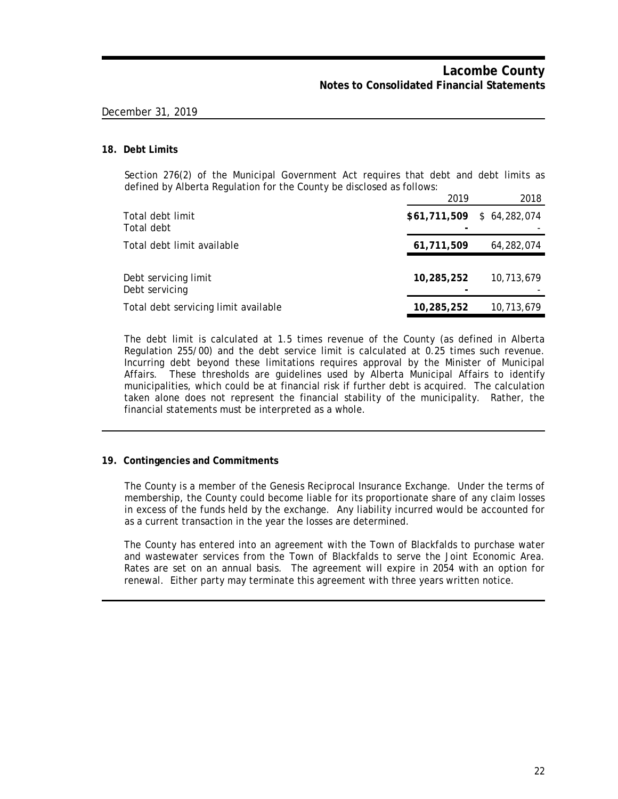#### **18. Debt Limits**

Section 276(2) of the Municipal Government Act requires that debt and debt limits as defined by Alberta Regulation for the County be disclosed as follows:

|                                        | 2019                        | 2018       |
|----------------------------------------|-----------------------------|------------|
| Total debt limit<br>Total debt         | $$61,711,509$ $$64,282,074$ |            |
| Total debt limit available             | 61,711,509                  | 64,282,074 |
| Debt servicing limit<br>Debt servicing | 10,285,252                  | 10,713,679 |
| Total debt servicing limit available   | 10,285,252                  | 10,713,679 |

The debt limit is calculated at 1.5 times revenue of the County (as defined in Alberta Regulation 255/00) and the debt service limit is calculated at 0.25 times such revenue. Incurring debt beyond these limitations requires approval by the Minister of Municipal Affairs. These thresholds are guidelines used by Alberta Municipal Affairs to identify municipalities, which could be at financial risk if further debt is acquired. The calculation taken alone does not represent the financial stability of the municipality. Rather, the financial statements must be interpreted as a whole.

#### **19. Contingencies and Commitments**

The County is a member of the Genesis Reciprocal Insurance Exchange. Under the terms of membership, the County could become liable for its proportionate share of any claim losses in excess of the funds held by the exchange. Any liability incurred would be accounted for as a current transaction in the year the losses are determined.

The County has entered into an agreement with the Town of Blackfalds to purchase water and wastewater services from the Town of Blackfalds to serve the Joint Economic Area. Rates are set on an annual basis. The agreement will expire in 2054 with an option for renewal. Either party may terminate this agreement with three years written notice.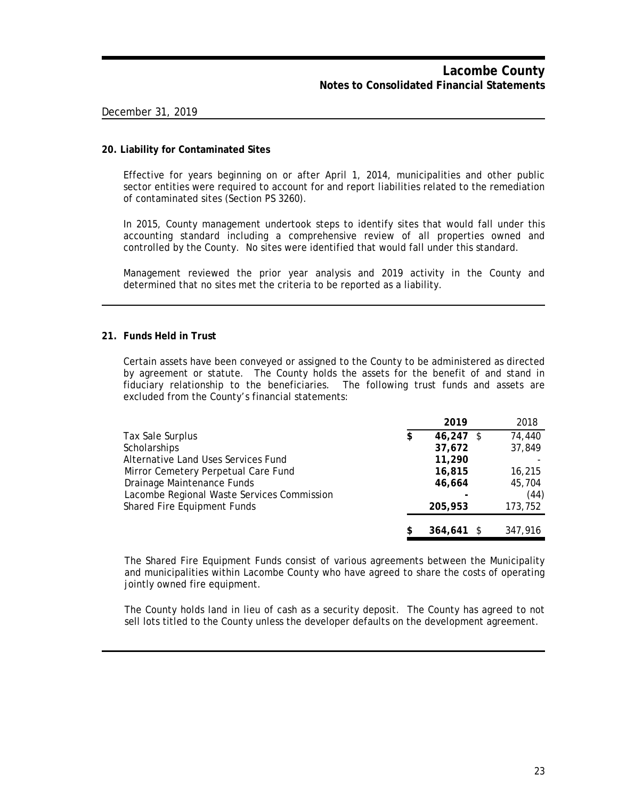#### **20. Liability for Contaminated Sites**

Effective for years beginning on or after April 1, 2014, municipalities and other public sector entities were required to account for and report liabilities related to the remediation of contaminated sites (Section PS 3260).

In 2015, County management undertook steps to identify sites that would fall under this accounting standard including a comprehensive review of all properties owned and controlled by the County. No sites were identified that would fall under this standard.

Management reviewed the prior year analysis and 2019 activity in the County and determined that no sites met the criteria to be reported as a liability.

#### **21. Funds Held in Trust**

Certain assets have been conveyed or assigned to the County to be administered as directed by agreement or statute. The County holds the assets for the benefit of and stand in fiduciary relationship to the beneficiaries. The following trust funds and assets are excluded from the County's financial statements:

|                                            | 2019              | 2018    |
|--------------------------------------------|-------------------|---------|
| Tax Sale Surplus                           | \$<br>$46,247$ \$ | 74,440  |
| Scholarships                               | 37,672            | 37,849  |
| Alternative Land Uses Services Fund        | 11,290            |         |
| Mirror Cemetery Perpetual Care Fund        | 16,815            | 16,215  |
| Drainage Maintenance Funds                 | 46,664            | 45,704  |
| Lacombe Regional Waste Services Commission |                   | (44)    |
| Shared Fire Equipment Funds                | 205,953           | 173,752 |
|                                            |                   |         |
|                                            | 364,641           | 347.916 |

The Shared Fire Equipment Funds consist of various agreements between the Municipality and municipalities within Lacombe County who have agreed to share the costs of operating jointly owned fire equipment.

The County holds land in lieu of cash as a security deposit. The County has agreed to not sell lots titled to the County unless the developer defaults on the development agreement.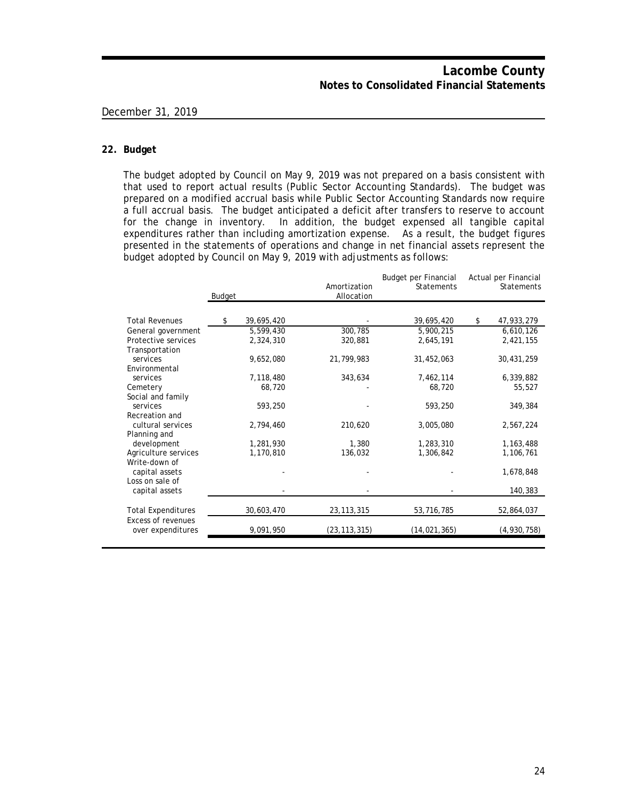#### **22. Budget**

The budget adopted by Council on May 9, 2019 was not prepared on a basis consistent with that used to report actual results (Public Sector Accounting Standards). The budget was prepared on a modified accrual basis while Public Sector Accounting Standards now require a full accrual basis. The budget anticipated a deficit after transfers to reserve to account for the change in inventory. In addition, the budget expensed all tangible capital expenditures rather than including amortization expense. As a result, the budget figures presented in the statements of operations and change in net financial assets represent the budget adopted by Council on May 9, 2019 with adjustments as follows:

|                                                | Budget |            | Amortization<br>Allocation | Budget per Financial<br><b>Statements</b> | Actual per Financial<br>Statements |
|------------------------------------------------|--------|------------|----------------------------|-------------------------------------------|------------------------------------|
| <b>Total Revenues</b>                          | \$     | 39,695,420 |                            | 39,695,420                                | \$<br>47,933,279                   |
| General government                             |        | 5,599,430  | 300,785                    | 5,900,215                                 | 6,610,126                          |
| Protective services<br>Transportation          |        | 2,324,310  | 320,881                    | 2,645,191                                 | 2,421,155                          |
| services<br>Environmental                      |        | 9,652,080  | 21,799,983                 | 31,452,063                                | 30,431,259                         |
| services                                       |        | 7,118,480  | 343,634                    | 7,462,114                                 | 6,339,882                          |
| Cemetery                                       |        | 68,720     |                            | 68,720                                    | 55,527                             |
| Social and family<br>services                  |        | 593,250    |                            | 593,250                                   | 349,384                            |
| Recreation and<br>cultural services            |        | 2,794,460  | 210,620                    | 3,005,080                                 | 2,567,224                          |
| Planning and                                   |        |            |                            |                                           |                                    |
| development                                    |        | 1,281,930  | 1,380                      | 1,283,310                                 | 1,163,488                          |
| Agriculture services                           |        | 1,170,810  | 136,032                    | 1,306,842                                 | 1,106,761                          |
| Write-down of<br>capital assets                |        |            |                            |                                           | 1,678,848                          |
| Loss on sale of<br>capital assets              |        |            |                            |                                           | 140,383                            |
| <b>Total Expenditures</b>                      |        | 30,603,470 | 23, 113, 315               | 53,716,785                                | 52,864,037                         |
| <b>Excess of revenues</b><br>over expenditures |        | 9,091,950  | (23, 113, 315)             | (14, 021, 365)                            | (4,930,758)                        |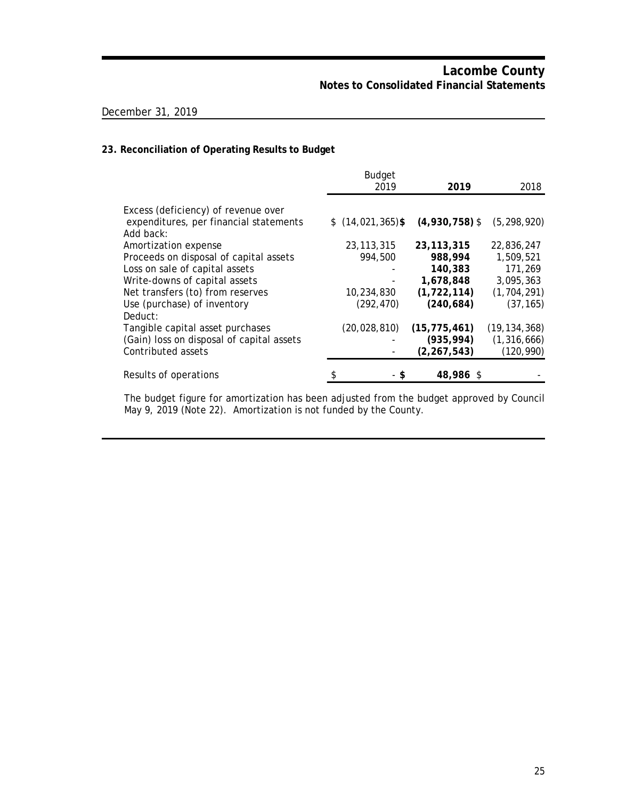### **23. Reconciliation of Operating Results to Budget**

|                                           | <b>Budget</b><br>2019 | 2019             | 2018           |
|-------------------------------------------|-----------------------|------------------|----------------|
| Excess (deficiency) of revenue over       |                       |                  |                |
| expenditures, per financial statements    | $$(14,021,365)$ \$    | $(4,930,758)$ \$ | (5, 298, 920)  |
| Add back:                                 |                       |                  |                |
| Amortization expense                      | 23, 113, 315          | 23, 113, 315     | 22,836,247     |
| Proceeds on disposal of capital assets    | 994,500               | 988,994          | 1,509,521      |
| Loss on sale of capital assets            |                       | 140,383          | 171,269        |
| Write-downs of capital assets             |                       | 1,678,848        | 3,095,363      |
| Net transfers (to) from reserves          | 10,234,830            | (1, 722, 114)    | (1, 704, 291)  |
| Use (purchase) of inventory               | (292, 470)            | (240, 684)       | (37, 165)      |
| Deduct:                                   |                       |                  |                |
| Tangible capital asset purchases          | (20, 028, 810)        | (15, 775, 461)   | (19, 134, 368) |
| (Gain) loss on disposal of capital assets |                       | (935, 994)       | (1, 316, 666)  |
| Contributed assets                        |                       | (2, 267, 543)    | (120, 990)     |
| Results of operations                     |                       | 48,986 \$        |                |

The budget figure for amortization has been adjusted from the budget approved by Council May 9, 2019 (Note 22). Amortization is not funded by the County.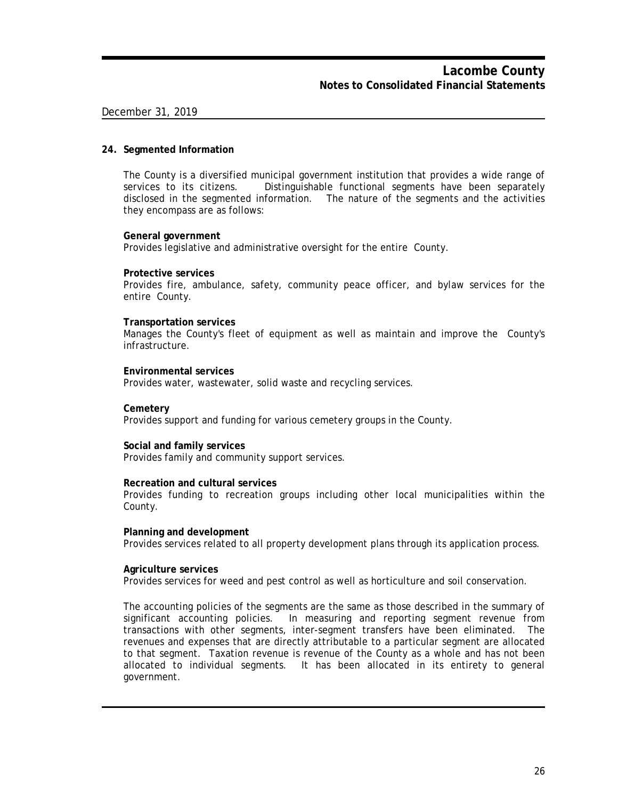#### **24. Segmented Information**

The County is a diversified municipal government institution that provides a wide range of services to its citizens. Distinguishable functional segments have been separately disclosed in the segmented information. The nature of the segments and the activities they encompass are as follows:

#### **General government**

Provides legislative and administrative oversight for the entire County.

#### **Protective services**

Provides fire, ambulance, safety, community peace officer, and bylaw services for the entire County.

#### **Transportation services**

Manages the County's fleet of equipment as well as maintain and improve the County's infrastructure.

#### **Environmental services**

Provides water, wastewater, solid waste and recycling services.

#### **Cemetery**

Provides support and funding for various cemetery groups in the County.

#### **Social and family services**

Provides family and community support services.

#### **Recreation and cultural services**

Provides funding to recreation groups including other local municipalities within the County.

#### **Planning and development**

Provides services related to all property development plans through its application process.

#### **Agriculture services**

Provides services for weed and pest control as well as horticulture and soil conservation.

The accounting policies of the segments are the same as those described in the summary of significant accounting policies. In measuring and reporting segment revenue from transactions with other segments, inter-segment transfers have been eliminated. The revenues and expenses that are directly attributable to a particular segment are allocated to that segment. Taxation revenue is revenue of the County as a whole and has not been allocated to individual segments. It has been allocated in its entirety to general government.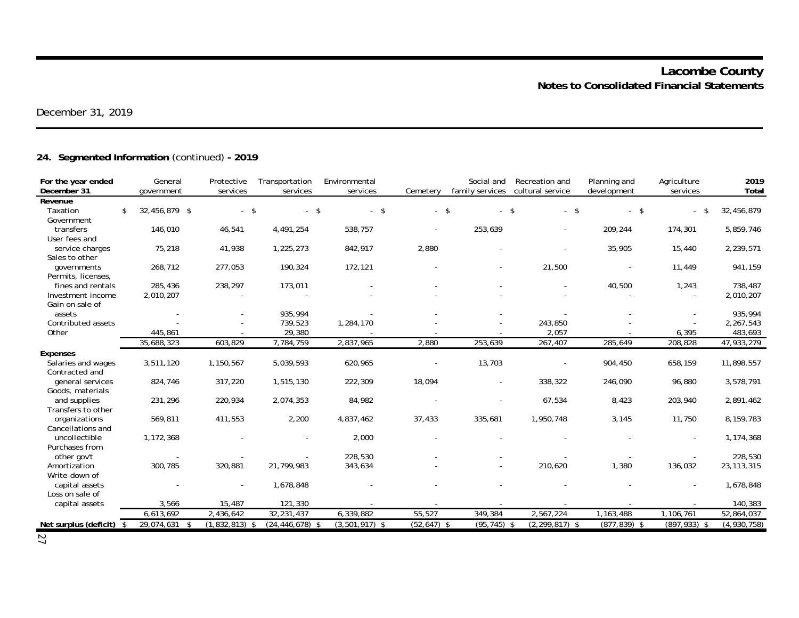# **24. Segmented Information** (continued) **- 2019**

| Revenue<br>32,456,879 \$<br>$-5$<br>$-5$<br>$-$ \$<br>$-5$<br>32,456,879<br>\$<br>$-$ \$<br>-\$<br>$-5$<br>Taxation<br><sup>\$</sup><br>$\sim$<br>Government<br>transfers<br>4,491,254<br>253,639<br>209,244<br>174,301<br>5,859,746<br>146,010<br>46,541<br>538,757<br>User fees and<br>75,218<br>2,880<br>35,905<br>2,239,571<br>41,938<br>1,225,273<br>842,917<br>15,440<br>service charges<br>Sales to other<br>268,712<br>277,053<br>190,324<br>172,121<br>21,500<br>941,159<br>11,449<br>governments<br>Permits, licenses,<br>285,436<br>238,297<br>173,011<br>1,243<br>738,487<br>40,500<br>fines and rentals<br>2,010,207<br>2,010,207<br>Investment income<br>Gain on sale of<br>935,994<br>assets<br>935,994<br>1,284,170<br>2,267,543<br>Contributed assets<br>739,523<br>243,850<br>29,380<br>2,057<br>483,693<br>445,861<br>6,395<br>Other<br>7,784,759<br>47,933,279<br>35,688,323<br>603,829<br>2,837,965<br>2,880<br>253,639<br>267,407<br>285,649<br>208,828<br><b>Expenses</b><br>3,511,120<br>13,703<br>11,898,557<br>1,150,567<br>5,039,593<br>620,965<br>904,450<br>658,159<br>Salaries and wages<br>Contracted and<br>824,746<br>1,515,130<br>338,322<br>3,578,791<br>general services<br>317,220<br>222,309<br>18,094<br>246,090<br>96,880<br>Goods, materials<br>84,982<br>67,534<br>2,891,462<br>231,296<br>220,934<br>2,074,353<br>8,423<br>203,940<br>and supplies<br>Transfers to other<br>2,200<br>569,811<br>411,553<br>4,837,462<br>37,433<br>335,681<br>1,950,748<br>3,145<br>11,750<br>8,159,783<br>organizations<br>Cancellations and<br>2,000<br>1,174,368<br>uncollectible<br>1,172,368<br>Purchases from<br>228,530<br>228,530<br>other gov't<br>300,785<br>320,881<br>21,799,983<br>343,634<br>210,620<br>1,380<br>136,032<br>23, 113, 315<br>Amortization<br>Write-down of<br>1,678,848<br>1,678,848<br>capital assets<br>Loss on sale of<br>15,487<br>121,330<br>3,566<br>140,383<br>capital assets<br>52,864,037<br>6,613,692<br>2,436,642<br>32,231,437<br>6,339,882<br>55,527<br>349,384<br>1,163,488<br>2,567,224<br>1,106,761<br>29,074,631 \$<br>$(1,832,813)$ \$<br>$(3, 501, 917)$ \$<br>$(52, 647)$ \$<br>$(877, 839)$ \$<br>(4,930,758)<br>$(24, 446, 678)$ \$<br>$(95, 745)$ \$<br>$(2, 299, 817)$ \$<br>$(897, 933)$ \$<br>Net surplus (deficit) $$$ | For the year ended<br>December 31 | General<br>government | Protective<br>services | Transportation<br>services | Environmental<br>services | Cemetery | Social and<br>family services | Recreation and<br>cultural service | Planning and<br>development | Agriculture<br>services | 2019<br>Total |
|----------------------------------------------------------------------------------------------------------------------------------------------------------------------------------------------------------------------------------------------------------------------------------------------------------------------------------------------------------------------------------------------------------------------------------------------------------------------------------------------------------------------------------------------------------------------------------------------------------------------------------------------------------------------------------------------------------------------------------------------------------------------------------------------------------------------------------------------------------------------------------------------------------------------------------------------------------------------------------------------------------------------------------------------------------------------------------------------------------------------------------------------------------------------------------------------------------------------------------------------------------------------------------------------------------------------------------------------------------------------------------------------------------------------------------------------------------------------------------------------------------------------------------------------------------------------------------------------------------------------------------------------------------------------------------------------------------------------------------------------------------------------------------------------------------------------------------------------------------------------------------------------------------------------------------------------------------------------------------------------------------------------------------------------------------------------------------------------------------------------------------------------------------------------------------------------------------------------------------------------------------------------------------------------------------|-----------------------------------|-----------------------|------------------------|----------------------------|---------------------------|----------|-------------------------------|------------------------------------|-----------------------------|-------------------------|---------------|
|                                                                                                                                                                                                                                                                                                                                                                                                                                                                                                                                                                                                                                                                                                                                                                                                                                                                                                                                                                                                                                                                                                                                                                                                                                                                                                                                                                                                                                                                                                                                                                                                                                                                                                                                                                                                                                                                                                                                                                                                                                                                                                                                                                                                                                                                                                          |                                   |                       |                        |                            |                           |          |                               |                                    |                             |                         |               |
|                                                                                                                                                                                                                                                                                                                                                                                                                                                                                                                                                                                                                                                                                                                                                                                                                                                                                                                                                                                                                                                                                                                                                                                                                                                                                                                                                                                                                                                                                                                                                                                                                                                                                                                                                                                                                                                                                                                                                                                                                                                                                                                                                                                                                                                                                                          |                                   |                       |                        |                            |                           |          |                               |                                    |                             |                         |               |
|                                                                                                                                                                                                                                                                                                                                                                                                                                                                                                                                                                                                                                                                                                                                                                                                                                                                                                                                                                                                                                                                                                                                                                                                                                                                                                                                                                                                                                                                                                                                                                                                                                                                                                                                                                                                                                                                                                                                                                                                                                                                                                                                                                                                                                                                                                          |                                   |                       |                        |                            |                           |          |                               |                                    |                             |                         |               |
|                                                                                                                                                                                                                                                                                                                                                                                                                                                                                                                                                                                                                                                                                                                                                                                                                                                                                                                                                                                                                                                                                                                                                                                                                                                                                                                                                                                                                                                                                                                                                                                                                                                                                                                                                                                                                                                                                                                                                                                                                                                                                                                                                                                                                                                                                                          |                                   |                       |                        |                            |                           |          |                               |                                    |                             |                         |               |
|                                                                                                                                                                                                                                                                                                                                                                                                                                                                                                                                                                                                                                                                                                                                                                                                                                                                                                                                                                                                                                                                                                                                                                                                                                                                                                                                                                                                                                                                                                                                                                                                                                                                                                                                                                                                                                                                                                                                                                                                                                                                                                                                                                                                                                                                                                          |                                   |                       |                        |                            |                           |          |                               |                                    |                             |                         |               |
|                                                                                                                                                                                                                                                                                                                                                                                                                                                                                                                                                                                                                                                                                                                                                                                                                                                                                                                                                                                                                                                                                                                                                                                                                                                                                                                                                                                                                                                                                                                                                                                                                                                                                                                                                                                                                                                                                                                                                                                                                                                                                                                                                                                                                                                                                                          |                                   |                       |                        |                            |                           |          |                               |                                    |                             |                         |               |
|                                                                                                                                                                                                                                                                                                                                                                                                                                                                                                                                                                                                                                                                                                                                                                                                                                                                                                                                                                                                                                                                                                                                                                                                                                                                                                                                                                                                                                                                                                                                                                                                                                                                                                                                                                                                                                                                                                                                                                                                                                                                                                                                                                                                                                                                                                          |                                   |                       |                        |                            |                           |          |                               |                                    |                             |                         |               |
|                                                                                                                                                                                                                                                                                                                                                                                                                                                                                                                                                                                                                                                                                                                                                                                                                                                                                                                                                                                                                                                                                                                                                                                                                                                                                                                                                                                                                                                                                                                                                                                                                                                                                                                                                                                                                                                                                                                                                                                                                                                                                                                                                                                                                                                                                                          |                                   |                       |                        |                            |                           |          |                               |                                    |                             |                         |               |
|                                                                                                                                                                                                                                                                                                                                                                                                                                                                                                                                                                                                                                                                                                                                                                                                                                                                                                                                                                                                                                                                                                                                                                                                                                                                                                                                                                                                                                                                                                                                                                                                                                                                                                                                                                                                                                                                                                                                                                                                                                                                                                                                                                                                                                                                                                          |                                   |                       |                        |                            |                           |          |                               |                                    |                             |                         |               |
|                                                                                                                                                                                                                                                                                                                                                                                                                                                                                                                                                                                                                                                                                                                                                                                                                                                                                                                                                                                                                                                                                                                                                                                                                                                                                                                                                                                                                                                                                                                                                                                                                                                                                                                                                                                                                                                                                                                                                                                                                                                                                                                                                                                                                                                                                                          |                                   |                       |                        |                            |                           |          |                               |                                    |                             |                         |               |
|                                                                                                                                                                                                                                                                                                                                                                                                                                                                                                                                                                                                                                                                                                                                                                                                                                                                                                                                                                                                                                                                                                                                                                                                                                                                                                                                                                                                                                                                                                                                                                                                                                                                                                                                                                                                                                                                                                                                                                                                                                                                                                                                                                                                                                                                                                          |                                   |                       |                        |                            |                           |          |                               |                                    |                             |                         |               |
|                                                                                                                                                                                                                                                                                                                                                                                                                                                                                                                                                                                                                                                                                                                                                                                                                                                                                                                                                                                                                                                                                                                                                                                                                                                                                                                                                                                                                                                                                                                                                                                                                                                                                                                                                                                                                                                                                                                                                                                                                                                                                                                                                                                                                                                                                                          |                                   |                       |                        |                            |                           |          |                               |                                    |                             |                         |               |
|                                                                                                                                                                                                                                                                                                                                                                                                                                                                                                                                                                                                                                                                                                                                                                                                                                                                                                                                                                                                                                                                                                                                                                                                                                                                                                                                                                                                                                                                                                                                                                                                                                                                                                                                                                                                                                                                                                                                                                                                                                                                                                                                                                                                                                                                                                          |                                   |                       |                        |                            |                           |          |                               |                                    |                             |                         |               |
|                                                                                                                                                                                                                                                                                                                                                                                                                                                                                                                                                                                                                                                                                                                                                                                                                                                                                                                                                                                                                                                                                                                                                                                                                                                                                                                                                                                                                                                                                                                                                                                                                                                                                                                                                                                                                                                                                                                                                                                                                                                                                                                                                                                                                                                                                                          |                                   |                       |                        |                            |                           |          |                               |                                    |                             |                         |               |
|                                                                                                                                                                                                                                                                                                                                                                                                                                                                                                                                                                                                                                                                                                                                                                                                                                                                                                                                                                                                                                                                                                                                                                                                                                                                                                                                                                                                                                                                                                                                                                                                                                                                                                                                                                                                                                                                                                                                                                                                                                                                                                                                                                                                                                                                                                          |                                   |                       |                        |                            |                           |          |                               |                                    |                             |                         |               |
|                                                                                                                                                                                                                                                                                                                                                                                                                                                                                                                                                                                                                                                                                                                                                                                                                                                                                                                                                                                                                                                                                                                                                                                                                                                                                                                                                                                                                                                                                                                                                                                                                                                                                                                                                                                                                                                                                                                                                                                                                                                                                                                                                                                                                                                                                                          |                                   |                       |                        |                            |                           |          |                               |                                    |                             |                         |               |
|                                                                                                                                                                                                                                                                                                                                                                                                                                                                                                                                                                                                                                                                                                                                                                                                                                                                                                                                                                                                                                                                                                                                                                                                                                                                                                                                                                                                                                                                                                                                                                                                                                                                                                                                                                                                                                                                                                                                                                                                                                                                                                                                                                                                                                                                                                          |                                   |                       |                        |                            |                           |          |                               |                                    |                             |                         |               |
|                                                                                                                                                                                                                                                                                                                                                                                                                                                                                                                                                                                                                                                                                                                                                                                                                                                                                                                                                                                                                                                                                                                                                                                                                                                                                                                                                                                                                                                                                                                                                                                                                                                                                                                                                                                                                                                                                                                                                                                                                                                                                                                                                                                                                                                                                                          |                                   |                       |                        |                            |                           |          |                               |                                    |                             |                         |               |
|                                                                                                                                                                                                                                                                                                                                                                                                                                                                                                                                                                                                                                                                                                                                                                                                                                                                                                                                                                                                                                                                                                                                                                                                                                                                                                                                                                                                                                                                                                                                                                                                                                                                                                                                                                                                                                                                                                                                                                                                                                                                                                                                                                                                                                                                                                          |                                   |                       |                        |                            |                           |          |                               |                                    |                             |                         |               |
|                                                                                                                                                                                                                                                                                                                                                                                                                                                                                                                                                                                                                                                                                                                                                                                                                                                                                                                                                                                                                                                                                                                                                                                                                                                                                                                                                                                                                                                                                                                                                                                                                                                                                                                                                                                                                                                                                                                                                                                                                                                                                                                                                                                                                                                                                                          |                                   |                       |                        |                            |                           |          |                               |                                    |                             |                         |               |
|                                                                                                                                                                                                                                                                                                                                                                                                                                                                                                                                                                                                                                                                                                                                                                                                                                                                                                                                                                                                                                                                                                                                                                                                                                                                                                                                                                                                                                                                                                                                                                                                                                                                                                                                                                                                                                                                                                                                                                                                                                                                                                                                                                                                                                                                                                          |                                   |                       |                        |                            |                           |          |                               |                                    |                             |                         |               |
|                                                                                                                                                                                                                                                                                                                                                                                                                                                                                                                                                                                                                                                                                                                                                                                                                                                                                                                                                                                                                                                                                                                                                                                                                                                                                                                                                                                                                                                                                                                                                                                                                                                                                                                                                                                                                                                                                                                                                                                                                                                                                                                                                                                                                                                                                                          |                                   |                       |                        |                            |                           |          |                               |                                    |                             |                         |               |
|                                                                                                                                                                                                                                                                                                                                                                                                                                                                                                                                                                                                                                                                                                                                                                                                                                                                                                                                                                                                                                                                                                                                                                                                                                                                                                                                                                                                                                                                                                                                                                                                                                                                                                                                                                                                                                                                                                                                                                                                                                                                                                                                                                                                                                                                                                          |                                   |                       |                        |                            |                           |          |                               |                                    |                             |                         |               |
|                                                                                                                                                                                                                                                                                                                                                                                                                                                                                                                                                                                                                                                                                                                                                                                                                                                                                                                                                                                                                                                                                                                                                                                                                                                                                                                                                                                                                                                                                                                                                                                                                                                                                                                                                                                                                                                                                                                                                                                                                                                                                                                                                                                                                                                                                                          |                                   |                       |                        |                            |                           |          |                               |                                    |                             |                         |               |
|                                                                                                                                                                                                                                                                                                                                                                                                                                                                                                                                                                                                                                                                                                                                                                                                                                                                                                                                                                                                                                                                                                                                                                                                                                                                                                                                                                                                                                                                                                                                                                                                                                                                                                                                                                                                                                                                                                                                                                                                                                                                                                                                                                                                                                                                                                          |                                   |                       |                        |                            |                           |          |                               |                                    |                             |                         |               |
|                                                                                                                                                                                                                                                                                                                                                                                                                                                                                                                                                                                                                                                                                                                                                                                                                                                                                                                                                                                                                                                                                                                                                                                                                                                                                                                                                                                                                                                                                                                                                                                                                                                                                                                                                                                                                                                                                                                                                                                                                                                                                                                                                                                                                                                                                                          |                                   |                       |                        |                            |                           |          |                               |                                    |                             |                         |               |
|                                                                                                                                                                                                                                                                                                                                                                                                                                                                                                                                                                                                                                                                                                                                                                                                                                                                                                                                                                                                                                                                                                                                                                                                                                                                                                                                                                                                                                                                                                                                                                                                                                                                                                                                                                                                                                                                                                                                                                                                                                                                                                                                                                                                                                                                                                          |                                   |                       |                        |                            |                           |          |                               |                                    |                             |                         |               |
|                                                                                                                                                                                                                                                                                                                                                                                                                                                                                                                                                                                                                                                                                                                                                                                                                                                                                                                                                                                                                                                                                                                                                                                                                                                                                                                                                                                                                                                                                                                                                                                                                                                                                                                                                                                                                                                                                                                                                                                                                                                                                                                                                                                                                                                                                                          |                                   |                       |                        |                            |                           |          |                               |                                    |                             |                         |               |
|                                                                                                                                                                                                                                                                                                                                                                                                                                                                                                                                                                                                                                                                                                                                                                                                                                                                                                                                                                                                                                                                                                                                                                                                                                                                                                                                                                                                                                                                                                                                                                                                                                                                                                                                                                                                                                                                                                                                                                                                                                                                                                                                                                                                                                                                                                          |                                   |                       |                        |                            |                           |          |                               |                                    |                             |                         |               |
|                                                                                                                                                                                                                                                                                                                                                                                                                                                                                                                                                                                                                                                                                                                                                                                                                                                                                                                                                                                                                                                                                                                                                                                                                                                                                                                                                                                                                                                                                                                                                                                                                                                                                                                                                                                                                                                                                                                                                                                                                                                                                                                                                                                                                                                                                                          |                                   |                       |                        |                            |                           |          |                               |                                    |                             |                         |               |
|                                                                                                                                                                                                                                                                                                                                                                                                                                                                                                                                                                                                                                                                                                                                                                                                                                                                                                                                                                                                                                                                                                                                                                                                                                                                                                                                                                                                                                                                                                                                                                                                                                                                                                                                                                                                                                                                                                                                                                                                                                                                                                                                                                                                                                                                                                          |                                   |                       |                        |                            |                           |          |                               |                                    |                             |                         |               |
|                                                                                                                                                                                                                                                                                                                                                                                                                                                                                                                                                                                                                                                                                                                                                                                                                                                                                                                                                                                                                                                                                                                                                                                                                                                                                                                                                                                                                                                                                                                                                                                                                                                                                                                                                                                                                                                                                                                                                                                                                                                                                                                                                                                                                                                                                                          |                                   |                       |                        |                            |                           |          |                               |                                    |                             |                         |               |
|                                                                                                                                                                                                                                                                                                                                                                                                                                                                                                                                                                                                                                                                                                                                                                                                                                                                                                                                                                                                                                                                                                                                                                                                                                                                                                                                                                                                                                                                                                                                                                                                                                                                                                                                                                                                                                                                                                                                                                                                                                                                                                                                                                                                                                                                                                          |                                   |                       |                        |                            |                           |          |                               |                                    |                             |                         |               |
|                                                                                                                                                                                                                                                                                                                                                                                                                                                                                                                                                                                                                                                                                                                                                                                                                                                                                                                                                                                                                                                                                                                                                                                                                                                                                                                                                                                                                                                                                                                                                                                                                                                                                                                                                                                                                                                                                                                                                                                                                                                                                                                                                                                                                                                                                                          |                                   |                       |                        |                            |                           |          |                               |                                    |                             |                         |               |

27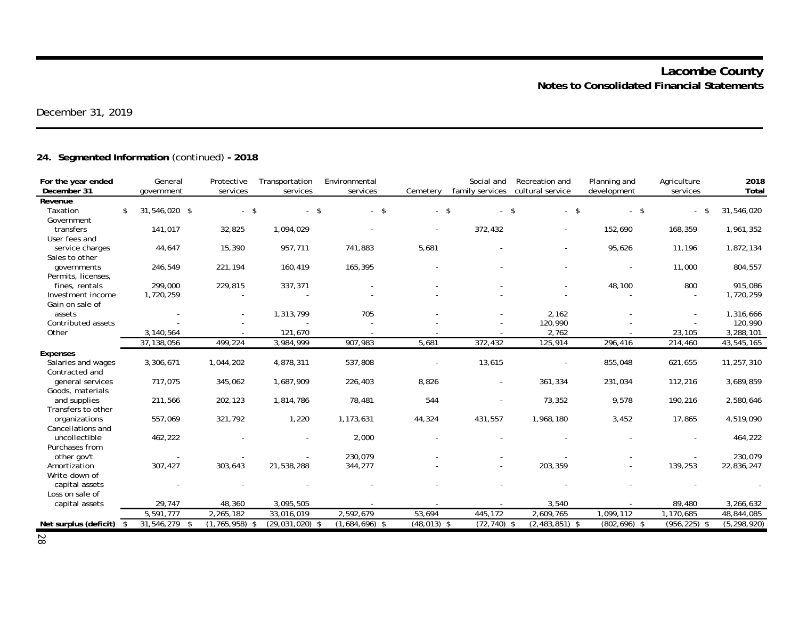# **24. Segmented Information** (continued) **- 2018**

| For the year ended<br>December 31 | General<br>government | Protective<br>services | Transportation<br>services | Environmental<br>services | Cemetery       | Social and<br>family services | Recreation and<br>cultural service | Planning and<br>development | Agriculture<br>services | 2018<br><b>Total</b> |
|-----------------------------------|-----------------------|------------------------|----------------------------|---------------------------|----------------|-------------------------------|------------------------------------|-----------------------------|-------------------------|----------------------|
| Revenue                           |                       |                        |                            |                           |                |                               |                                    |                             |                         |                      |
| Taxation                          | \$<br>31,546,020 \$   | $-$ \$                 | $-5$                       | $-$ \$                    | $-$ \$         | $\mathsf{\$}$                 | $-$ \$                             | $-5$                        | -\$                     | 31,546,020           |
| Government                        |                       |                        |                            |                           |                |                               |                                    |                             |                         |                      |
| transfers                         | 141,017               | 32,825                 | 1,094,029                  |                           |                | 372,432                       |                                    | 152,690                     | 168,359                 | 1,961,352            |
| User fees and                     |                       |                        |                            |                           |                |                               |                                    |                             |                         |                      |
| service charges                   | 44,647                | 15,390                 | 957,711                    | 741,883                   | 5,681          |                               |                                    | 95,626                      | 11,196                  | 1,872,134            |
| Sales to other                    |                       |                        |                            |                           |                |                               |                                    |                             |                         |                      |
| governments                       | 246,549               | 221,194                | 160,419                    | 165,395                   |                |                               |                                    |                             | 11,000                  | 804,557              |
| Permits, licenses,                |                       |                        |                            |                           |                |                               |                                    |                             |                         |                      |
| fines, rentals                    | 299,000               | 229,815                | 337,371                    |                           |                |                               |                                    | 48,100                      | 800                     | 915,086              |
| Investment income                 | 1,720,259             |                        |                            |                           |                |                               |                                    |                             | $\sim$                  | 1,720,259            |
| Gain on sale of                   |                       |                        |                            |                           |                |                               |                                    |                             |                         |                      |
| assets                            | $\sim$                |                        | 1,313,799                  | 705                       |                |                               | 2,162                              |                             |                         | 1,316,666            |
| Contributed assets                |                       |                        |                            |                           |                |                               | 120,990                            |                             |                         | 120,990              |
| Other                             | 3,140,564             |                        | 121,670                    |                           |                |                               | 2,762                              |                             | 23,105                  | 3,288,101            |
|                                   | 37,138,056            | 499,224                | 3,984,999                  | 907,983                   | 5,681          | 372,432                       | 125,914                            | 296,416                     | 214,460                 | 43,545,165           |
| <b>Expenses</b>                   |                       |                        |                            |                           |                |                               |                                    |                             |                         |                      |
| Salaries and wages                | 3,306,671             | 1,044,202              | 4,878,311                  | 537,808                   |                | 13,615                        | $\overline{\phantom{a}}$           | 855,048                     | 621,655                 | 11,257,310           |
| Contracted and                    |                       |                        |                            |                           |                |                               |                                    |                             |                         |                      |
| general services                  | 717,075               | 345,062                | 1,687,909                  | 226,403                   | 8,826          | $\blacksquare$                | 361,334                            | 231,034                     | 112,216                 | 3,689,859            |
| Goods, materials                  |                       |                        |                            |                           |                |                               |                                    |                             |                         |                      |
| and supplies                      | 211,566               | 202,123                | 1,814,786                  | 78,481                    | 544            |                               | 73,352                             | 9,578                       | 190,216                 | 2,580,646            |
| Transfers to other                |                       |                        |                            |                           |                |                               |                                    |                             |                         |                      |
| organizations                     | 557,069               | 321,792                | 1,220                      | 1,173,631                 | 44,324         | 431,557                       | 1,968,180                          | 3,452                       | 17,865                  | 4,519,090            |
| Cancellations and                 |                       |                        |                            |                           |                |                               |                                    |                             |                         |                      |
| uncollectible                     | 462,222               |                        |                            | 2,000                     |                |                               |                                    |                             |                         | 464,222              |
| Purchases from                    |                       |                        |                            |                           |                |                               |                                    |                             |                         |                      |
| other gov't                       |                       |                        |                            | 230,079                   |                |                               |                                    |                             |                         | 230,079              |
| Amortization                      | 307,427               | 303,643                | 21,538,288                 | 344,277                   |                |                               | 203,359                            |                             | 139,253                 | 22,836,247           |
| Write-down of                     |                       |                        |                            |                           |                |                               |                                    |                             |                         |                      |
| capital assets                    |                       |                        |                            |                           |                |                               |                                    |                             |                         |                      |
| Loss on sale of                   |                       |                        |                            |                           |                |                               |                                    |                             |                         |                      |
| capital assets                    | 29,747                | 48,360                 | 3,095,505                  |                           |                |                               | 3,540                              |                             | 89,480                  | 3,266,632            |
|                                   | 5,591,777             | 2,265,182              | 33,016,019                 | 2,592,679                 | 53,694         | 445,172                       | 2,609,765                          | 1,099,112                   | 1,170,685               | 48,844,085           |
| Net surplus (deficit) $$$         | 31,546,279 \$         | $(1, 765, 958)$ \$     | $(29, 031, 020)$ \$        | $(1,684,696)$ \$          | $(48, 013)$ \$ | $(72, 740)$ \$                | $(2,483,851)$ \$                   | $(802, 696)$ \$             | $(956, 225)$ \$         | (5, 298, 920)        |

28